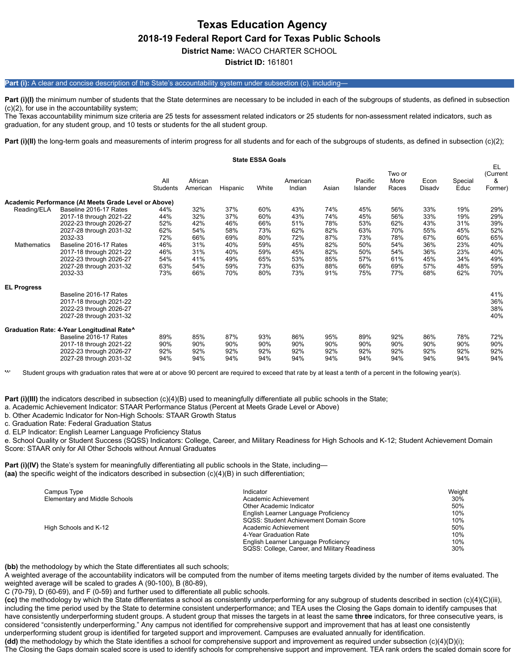# **Texas Education Agency 2018-19 Federal Report Card for Texas Public Schools**

**District Name:** WACO CHARTER SCHOOL

**District ID:** 161801

# **Part (i):** A clear and concise description of the State's accountability system under subsection (c), including—

Part (i)(I) the minimum number of students that the State determines are necessary to be included in each of the subgroups of students, as defined in subsection (c)(2), for use in the accountability system;

The Texas accountability minimum size criteria are 25 tests for assessment related indicators or 25 students for non-assessment related indicators, such as graduation, for any student group, and 10 tests or students for the all student group.

Part (i)(II) the long-term goals and measurements of interim progress for all students and for each of the subgroups of students, as defined in subsection (c)(2);

|                            |                                                                                                                                                                                                                                          |                                                                    |                                                                    |                                                                    | <b>State ESSA Goals</b>                                            |                                                                    |                                                                    |                                                                    |                                                                    |                                                                    |                                                                    |                                                                    |
|----------------------------|------------------------------------------------------------------------------------------------------------------------------------------------------------------------------------------------------------------------------------------|--------------------------------------------------------------------|--------------------------------------------------------------------|--------------------------------------------------------------------|--------------------------------------------------------------------|--------------------------------------------------------------------|--------------------------------------------------------------------|--------------------------------------------------------------------|--------------------------------------------------------------------|--------------------------------------------------------------------|--------------------------------------------------------------------|--------------------------------------------------------------------|
|                            |                                                                                                                                                                                                                                          | All<br><b>Students</b>                                             | African<br>American                                                | Hispanic                                                           | White                                                              | American<br>Indian                                                 | Asian                                                              | Pacific<br>Islander                                                | Two or<br>More<br>Races                                            | Econ<br>Disady                                                     | Special<br>Educ                                                    | EL<br>(Current<br>&<br>Former)                                     |
|                            | Academic Performance (At Meets Grade Level or Above)                                                                                                                                                                                     |                                                                    |                                                                    |                                                                    |                                                                    |                                                                    |                                                                    |                                                                    |                                                                    |                                                                    |                                                                    |                                                                    |
| Reading/ELA<br>Mathematics | Baseline 2016-17 Rates<br>2017-18 through 2021-22<br>2022-23 through 2026-27<br>2027-28 through 2031-32<br>2032-33<br>Baseline 2016-17 Rates<br>2017-18 through 2021-22<br>2022-23 through 2026-27<br>2027-28 through 2031-32<br>2032-33 | 44%<br>44%<br>52%<br>62%<br>72%<br>46%<br>46%<br>54%<br>63%<br>73% | 32%<br>32%<br>42%<br>54%<br>66%<br>31%<br>31%<br>41%<br>54%<br>66% | 37%<br>37%<br>46%<br>58%<br>69%<br>40%<br>40%<br>49%<br>59%<br>70% | 60%<br>60%<br>66%<br>73%<br>80%<br>59%<br>59%<br>65%<br>73%<br>80% | 43%<br>43%<br>51%<br>62%<br>72%<br>45%<br>45%<br>53%<br>63%<br>73% | 74%<br>74%<br>78%<br>82%<br>87%<br>82%<br>82%<br>85%<br>88%<br>91% | 45%<br>45%<br>53%<br>63%<br>73%<br>50%<br>50%<br>57%<br>66%<br>75% | 56%<br>56%<br>62%<br>70%<br>78%<br>54%<br>54%<br>61%<br>69%<br>77% | 33%<br>33%<br>43%<br>55%<br>67%<br>36%<br>36%<br>45%<br>57%<br>68% | 19%<br>19%<br>31%<br>45%<br>60%<br>23%<br>23%<br>34%<br>48%<br>62% | 29%<br>29%<br>39%<br>52%<br>65%<br>40%<br>40%<br>49%<br>59%<br>70% |
| <b>EL Progress</b>         | Baseline 2016-17 Rates<br>2017-18 through 2021-22<br>2022-23 through 2026-27<br>2027-28 through 2031-32                                                                                                                                  |                                                                    |                                                                    |                                                                    |                                                                    |                                                                    |                                                                    |                                                                    |                                                                    |                                                                    |                                                                    | 41%<br>36%<br>38%<br>40%                                           |
|                            | Graduation Rate: 4-Year Longitudinal Rate^<br>Baseline 2016-17 Rates<br>2017-18 through 2021-22<br>2022-23 through 2026-27<br>2027-28 through 2031-32                                                                                    | 89%<br>90%<br>92%<br>94%                                           | 85%<br>90%<br>92%<br>94%                                           | 87%<br>90%<br>92%<br>94%                                           | 93%<br>90%<br>92%<br>94%                                           | 86%<br>90%<br>92%<br>94%                                           | 95%<br>90%<br>92%<br>94%                                           | 89%<br>90%<br>92%<br>94%                                           | 92%<br>90%<br>92%<br>94%                                           | 86%<br>90%<br>92%<br>94%                                           | 78%<br>90%<br>92%<br>94%                                           | 72%<br>90%<br>92%<br>94%                                           |

Student groups with graduation rates that were at or above 90 percent are required to exceed that rate by at least a tenth of a percent in the following year(s).

**Part (i)(III)** the indicators described in subsection (c)(4)(B) used to meaningfully differentiate all public schools in the State;

a. Academic Achievement Indicator: STAAR Performance Status (Percent at Meets Grade Level or Above)

b. Other Academic Indicator for Non-High Schools: STAAR Growth Status

c. Graduation Rate: Federal Graduation Status

d. ELP Indicator: English Learner Language Proficiency Status

e. School Quality or Student Success (SQSS) Indicators: College, Career, and Military Readiness for High Schools and K-12; Student Achievement Domain Score: STAAR only for All Other Schools without Annual Graduates

**Part (i)(IV)** the State's system for meaningfully differentiating all public schools in the State, including— **(aa)** the specific weight of the indicators described in subsection (c)(4)(B) in such differentiation;

| Campus Type                   | Indicator                                     | Weight |
|-------------------------------|-----------------------------------------------|--------|
| Elementary and Middle Schools | Academic Achievement                          | 30%    |
|                               | Other Academic Indicator                      | 50%    |
|                               | English Learner Language Proficiency          | 10%    |
|                               | SQSS: Student Achievement Domain Score        | 10%    |
| High Schools and K-12         | Academic Achievement                          | 50%    |
|                               | 4-Year Graduation Rate                        | 10%    |
|                               | English Learner Language Proficiency          | 10%    |
|                               | SQSS: College, Career, and Military Readiness | 30%    |

**(bb)** the methodology by which the State differentiates all such schools;

A weighted average of the accountability indicators will be computed from the number of items meeting targets divided by the number of items evaluated. The weighted average will be scaled to grades A (90-100), B (80-89),

C (70-79), D (60-69), and F (0-59) and further used to differentiate all public schools.

**(cc)** the methodology by which the State differentiates a school as consistently underperforming for any subgroup of students described in section (c)(4)(C)(iii), including the time period used by the State to determine consistent underperformance; and TEA uses the Closing the Gaps domain to identify campuses that have consistently underperforming student groups. A student group that misses the targets in at least the same **three** indicators, for three consecutive years, is considered "consistently underperforming." Any campus not identified for comprehensive support and improvement that has at least one consistently underperforming student group is identified for targeted support and improvement. Campuses are evaluated annually for identification.

**(dd)** the methodology by which the State identifies a school for comprehensive support and improvement as required under subsection (c)(4)(D)(i);

The Closing the Gaps domain scaled score is used to identify schools for comprehensive support and improvement. TEA rank orders the scaled domain score for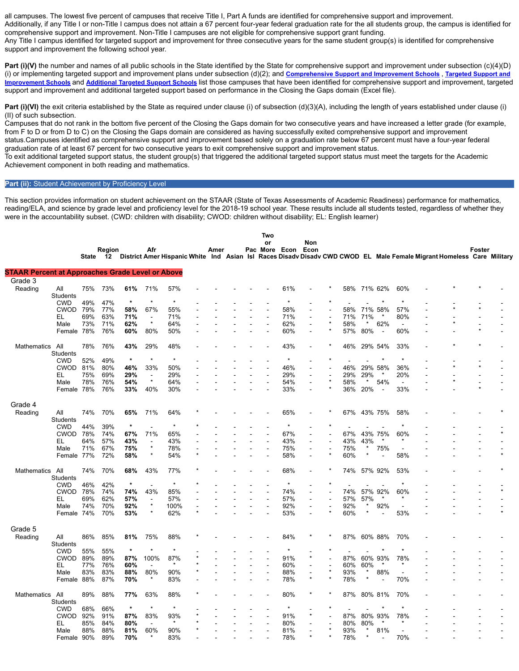all campuses. The lowest five percent of campuses that receive Title I, Part A funds are identified for comprehensive support and improvement. Additionally, if any Title I or non-Title I campus does not attain a 67 percent four-year federal graduation rate for the all students group, the campus is identified for comprehensive support and improvement. Non-Title I campuses are not eligible for comprehensive support grant funding. Any Title I campus identified for targeted support and improvement for three consecutive years for the same student group(s) is identified for comprehensive support and improvement the following school year.

Part (i)(V) the number and names of all public schools in the State identified by the State for comprehensive support and improvement under subsection (c)(4)(D) (i) or implementing targeted support and improvement plans under subsection (d)(2); and **[Comprehensive](https://tea.texas.gov/sites/default/files/comprehensive_support_2019.xlsx) Support and Improvement Schools** , **Targeted Support and Improvement Schools** and **[Additional](https://tea.texas.gov/sites/default/files/additional_targeted_support_2019.xlsx) Targeted Support Schools** [list those campuses that have been identified for comprehensive support and improvement, targeted](https://tea.texas.gov/sites/default/files/target_support_2019.xlsx) support and improvement and additional targeted support based on performance in the Closing the Gaps domain (Excel file).

Part (i)(VI) the exit criteria established by the State as required under clause (i) of subsection (d)(3)(A), including the length of years established under clause (i) (II) of such subsection.

Campuses that do not rank in the bottom five percent of the Closing the Gaps domain for two consecutive years and have increased a letter grade (for example, from F to D or from D to C) on the Closing the Gaps domain are considered as having successfully exited comprehensive support and improvement status.Campuses identified as comprehensive support and improvement based solely on a graduation rate below 67 percent must have a four-year federal graduation rate of at least 67 percent for two consecutive years to exit comprehensive support and improvement status.

To exit additional targeted support status, the student group(s) that triggered the additional targeted support status must meet the targets for the Academic Achievement component in both reading and mathematics.

## Part (ii): Student Achievement by Proficiency Level

This section provides information on student achievement on the STAAR (State of Texas Assessments of Academic Readiness) performance for mathematics, reading/ELA, and science by grade level and proficiency level for the 2018-19 school year. These results include all students tested, regardless of whether they were in the accountability subset. (CWD: children with disability; CWOD: children without disability; EL: English learner)

|                                                         |                    |            |              |            |                           |             |      |  | Two                      |            |         |            |         |                          |                          |                                                                                                                       |               |  |
|---------------------------------------------------------|--------------------|------------|--------------|------------|---------------------------|-------------|------|--|--------------------------|------------|---------|------------|---------|--------------------------|--------------------------|-----------------------------------------------------------------------------------------------------------------------|---------------|--|
|                                                         |                    |            |              |            | Afr                       |             | Amer |  | or<br>Pac More Econ Econ |            | Non     |            |         |                          |                          |                                                                                                                       | <b>Foster</b> |  |
|                                                         |                    | State      | Region<br>12 |            |                           |             |      |  |                          |            |         |            |         |                          |                          | District Amer Hispanic White Ind Asian Isl Races Disady Disady CWD CWOD EL Male Female Migrant Homeless Care Military |               |  |
|                                                         |                    |            |              |            |                           |             |      |  |                          |            |         |            |         |                          |                          |                                                                                                                       |               |  |
| <b>STAAR Percent at Approaches Grade Level or Above</b> |                    |            |              |            |                           |             |      |  |                          |            |         |            |         |                          |                          |                                                                                                                       |               |  |
| Grade 3                                                 |                    |            |              |            |                           |             |      |  |                          |            |         |            |         |                          |                          |                                                                                                                       |               |  |
| Reading                                                 | All                | 75%        | 73%          | 61%        | 71%                       | 57%         |      |  |                          | 61%        |         | 58%        |         | 71% 62%                  | 60%                      |                                                                                                                       |               |  |
|                                                         | <b>Students</b>    |            |              |            |                           |             |      |  |                          |            |         |            |         |                          |                          |                                                                                                                       |               |  |
|                                                         | <b>CWD</b>         | 49%        | 47%          | $\star$    |                           | $\star$     |      |  |                          |            |         |            |         |                          |                          |                                                                                                                       |               |  |
|                                                         | <b>CWOD</b>        | 79%        | 77%          | 58%        | 67%                       | 55%         |      |  |                          | 58%        |         | 58%        |         | 71% 58%                  | 57%                      |                                                                                                                       |               |  |
|                                                         | EL                 | 69%        | 63%          | 71%        |                           | 71%         |      |  |                          | 71%        |         | 71%        | 71%     |                          | 80%                      |                                                                                                                       |               |  |
|                                                         | Male               | 73%        | 71%          | 62%        | $\star$                   | 64%         |      |  |                          | 62%        |         | 58%        | $\star$ | 62%                      | $\sim$                   |                                                                                                                       |               |  |
|                                                         | Female 78%         |            | 76%          | 60%        | 80%                       | 50%         |      |  |                          | 60%        |         | 57%        | 80%     | $\overline{\phantom{a}}$ | 60%                      |                                                                                                                       |               |  |
| Mathematics                                             | All                | 78%        | 76%          | 43%        | 29%                       | 48%         |      |  |                          | 43%        |         | 46%        |         | 29% 54%                  | 33%                      |                                                                                                                       |               |  |
|                                                         | Students           |            |              |            |                           |             |      |  |                          |            |         |            |         |                          |                          |                                                                                                                       |               |  |
|                                                         | <b>CWD</b>         | 52%        | 49%          | $\star$    | $\star$                   | $\star$     |      |  |                          | $\star$    |         |            |         | $\star$                  | $\star$                  |                                                                                                                       |               |  |
|                                                         | <b>CWOD</b>        | 81%        | 80%          | 46%        | 33%                       | 50%         |      |  |                          | 46%        |         | 46%        |         | 29% 58%                  | 36%                      |                                                                                                                       |               |  |
|                                                         | EL.                | 75%        | 69%          | 29%        | $\blacksquare$            | 29%         |      |  |                          | 29%        |         | 29%        | 29%     |                          | 20%                      |                                                                                                                       |               |  |
|                                                         | Male               | 78%        | 76%          | 54%        | $\star$                   | 64%         |      |  |                          | 54%        |         | 58%        | $\star$ | 54%                      | ÷                        |                                                                                                                       |               |  |
|                                                         | Female 78%         |            | 76%          | 33%        | 40%                       | 30%         |      |  |                          | 33%        |         | 36%        | 20%     | $\overline{a}$           | 33%                      |                                                                                                                       |               |  |
|                                                         |                    |            |              |            |                           |             |      |  |                          |            |         |            |         |                          |                          |                                                                                                                       |               |  |
| Grade 4                                                 |                    |            |              |            |                           |             |      |  |                          |            |         |            |         |                          |                          |                                                                                                                       |               |  |
| Reading                                                 | All                | 74%        | 70%          | 65%        | 71%                       | 64%         |      |  |                          | 65%        |         | 67%        |         | 43% 75%                  | 58%                      |                                                                                                                       |               |  |
|                                                         | Students           |            |              |            |                           |             |      |  |                          |            |         |            |         |                          |                          |                                                                                                                       |               |  |
|                                                         | <b>CWD</b>         | 44%        | 39%          | $\star$    |                           | $\star$     |      |  |                          | $\star$    |         |            |         |                          | $\star$                  |                                                                                                                       |               |  |
|                                                         | <b>CWOD</b>        | 78%        | 74%          | 67%        | 71%                       | 65%         |      |  |                          | 67%        |         | 67%        |         | 43% 75%                  | 60%                      |                                                                                                                       |               |  |
|                                                         | EL                 | 64%        | 57%          | 43%        | $\overline{\phantom{a}}$  | 43%         |      |  |                          | 43%        |         | 43%        | 43%     |                          |                          |                                                                                                                       |               |  |
|                                                         | Male               | 71%        | 67%          | 75%        | $\star$                   | 78%         |      |  |                          | 75%        | L.      | 75%        | $\ast$  | 75%                      | ÷                        |                                                                                                                       |               |  |
|                                                         | Female 77%         |            | 72%          | 58%        | $\star$                   | 54%         |      |  |                          | 58%        | ÷.      | 60%        | $\star$ |                          | 58%                      |                                                                                                                       |               |  |
|                                                         |                    |            |              |            |                           |             |      |  |                          |            |         |            |         |                          |                          |                                                                                                                       |               |  |
| Mathematics                                             | All                | 74%        | 70%          | 68%        | 43%                       | 77%         |      |  |                          | 68%        |         | 74%        |         | 57% 92%                  | 53%                      |                                                                                                                       |               |  |
|                                                         | Students           |            |              | $\star$    | ÷                         | $\star$     |      |  |                          |            |         |            |         |                          | $\star$                  |                                                                                                                       |               |  |
|                                                         | <b>CWD</b>         | 46%        | 42%          |            |                           |             |      |  |                          |            |         |            |         |                          |                          |                                                                                                                       |               |  |
|                                                         | <b>CWOD</b><br>EL  | 78%<br>69% | 74%<br>62%   | 74%<br>57% | 43%                       | 85%         |      |  |                          | 74%<br>57% | L,      | 74%<br>57% | 57%     | 57% 92%<br>*             | 60%                      |                                                                                                                       |               |  |
|                                                         |                    | 74%        |              |            | $\blacksquare$<br>$\star$ | 57%         |      |  |                          | 92%        |         | 92%        | $\ast$  | 92%                      | $\overline{\phantom{a}}$ |                                                                                                                       |               |  |
|                                                         | Male<br>Female 74% |            | 70%<br>70%   | 92%<br>53% | $\star$                   | 100%<br>62% |      |  |                          | 53%        |         | 60%        | $\star$ |                          | 53%                      |                                                                                                                       |               |  |
|                                                         |                    |            |              |            |                           |             |      |  |                          |            |         |            |         |                          |                          |                                                                                                                       |               |  |
| Grade 5                                                 |                    |            |              |            |                           |             |      |  |                          |            |         |            |         |                          |                          |                                                                                                                       |               |  |
| Reading                                                 | All                | 86%        | 85%          | 81%        | 75%                       | 88%         |      |  |                          | 84%        |         | 87%        |         | 60% 88%                  | 70%                      |                                                                                                                       |               |  |
|                                                         | <b>Students</b>    |            |              |            |                           |             |      |  |                          |            |         |            |         |                          |                          |                                                                                                                       |               |  |
|                                                         | <b>CWD</b>         | 55%        | 55%          | $\star$    | $\star$                   | $\star$     |      |  |                          |            |         |            |         |                          |                          |                                                                                                                       |               |  |
|                                                         | <b>CWOD</b>        | 89%        | 89%          | 87%        | 100%                      | 87%         |      |  |                          | 91%        |         | 87%        |         | 60% 93%                  | 78%                      |                                                                                                                       |               |  |
|                                                         | EL                 | 77%        | 76%          | 60%        |                           | $\star$     |      |  |                          | 60%        |         | 60%        | 60%     | ×                        |                          |                                                                                                                       |               |  |
|                                                         | Male               | 83%        | 83%          | 88%        | 80%                       | 90%         |      |  |                          | 88%        |         | 93%        | $\star$ | 88%                      |                          |                                                                                                                       |               |  |
|                                                         | Female 88%         |            | 87%          | 70%        |                           | 83%         |      |  |                          | 78%        | $\star$ | 78%        | $\star$ | $\overline{a}$           | 70%                      |                                                                                                                       |               |  |
|                                                         |                    |            |              |            |                           |             |      |  |                          |            |         |            |         |                          |                          |                                                                                                                       |               |  |
| Mathematics                                             | All                | 89%        | 88%          | 77%        | 63%                       | 88%         |      |  |                          | 80%        |         | 87%        |         | 80% 81%                  | 70%                      |                                                                                                                       |               |  |
|                                                         | <b>Students</b>    |            |              |            |                           |             |      |  |                          |            |         |            |         |                          |                          |                                                                                                                       |               |  |
|                                                         | <b>CWD</b>         | 68%        | 66%          | $\star$    | $\star$                   | $\star$     |      |  |                          |            |         |            |         |                          |                          |                                                                                                                       |               |  |
|                                                         | <b>CWOD</b>        | 92%        | 91%          | 87%        | 83%                       | 93%         |      |  |                          | 91%        | $\star$ | 87%        |         | 80% 93%                  | 78%                      |                                                                                                                       |               |  |
|                                                         | EL.                | 85%        | 84%          | 80%        |                           | $\star$     |      |  |                          | 80%        |         | 80%        | 80%     |                          |                          |                                                                                                                       |               |  |
|                                                         | Male               | 88%        | 88%          | 81%        | 60%                       | 90%         |      |  |                          | 81%        |         | 93%        | $\ast$  | 81%                      |                          |                                                                                                                       |               |  |
|                                                         | Female 90%         |            | 89%          | 70%        |                           | 83%         |      |  |                          | 78%        |         | 78%        |         |                          | 70%                      |                                                                                                                       |               |  |
|                                                         |                    |            |              |            |                           |             |      |  |                          |            |         |            |         |                          |                          |                                                                                                                       |               |  |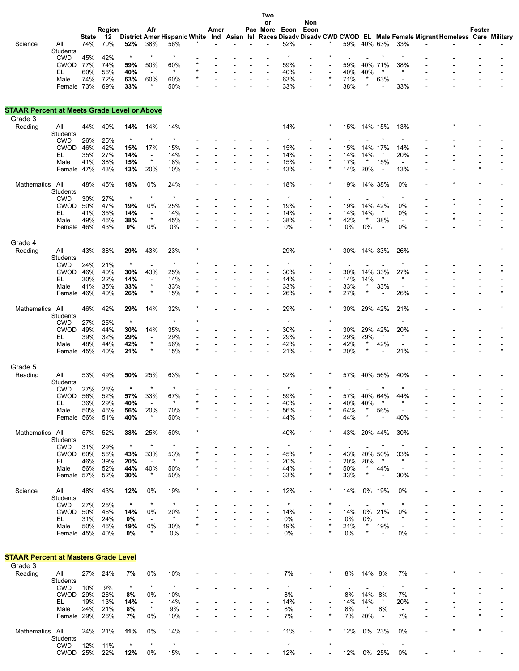|                                                    |                           |              |            |                |                                     |                |      |  | Two            |                |                |         |                                 |                     |                       |                                 |                                                                                                                       |         |  |
|----------------------------------------------------|---------------------------|--------------|------------|----------------|-------------------------------------|----------------|------|--|----------------|----------------|----------------|---------|---------------------------------|---------------------|-----------------------|---------------------------------|-----------------------------------------------------------------------------------------------------------------------|---------|--|
|                                                    |                           |              | Region     |                | Afr                                 |                | Amer |  | or<br>Pac More | Econ           | Non<br>Econ    |         |                                 |                     |                       |                                 |                                                                                                                       | Foster  |  |
|                                                    |                           | <b>State</b> | -12        |                |                                     |                |      |  |                |                |                |         |                                 |                     |                       |                                 | District Amer Hispanic White Ind Asian Isl Races Disady Disady CWD CWOD EL Male Female Migrant Homeless Care Military |         |  |
| Science                                            | All<br>Students           | 74%          | 70%        | 52%            | 38%                                 | 56%            |      |  |                | 52%            |                |         | 59%                             | 40% 63%             |                       | 33%                             |                                                                                                                       |         |  |
|                                                    | <b>CWD</b>                | 45%          | 42%        | $\star$        | $\ast$                              | $\ast$         |      |  |                |                |                |         |                                 |                     | $\star$               | $\star$                         |                                                                                                                       |         |  |
|                                                    | <b>CWOD</b>               | 77%          | 74%        | 59%            | 50%                                 | 60%            |      |  |                | 59%            |                |         | 59%                             |                     | 40% 71%               | 38%                             |                                                                                                                       |         |  |
|                                                    | EL<br>Male                | 60%<br>74%   | 56%<br>72% | 40%<br>63%     | $\sim$<br>60%                       | $\star$<br>60% |      |  |                | 40%<br>63%     |                |         | 40%<br>71%                      | 40%<br>$\pmb{\ast}$ | $\ast$<br>63%         | $\ast$<br>$\overline{a}$        |                                                                                                                       |         |  |
|                                                    | Female                    | 73%          | 69%        | 33%            |                                     | 50%            |      |  |                | 33%            |                |         | 38%                             | $\star$             |                       | 33%                             |                                                                                                                       |         |  |
|                                                    |                           |              |            |                |                                     |                |      |  |                |                |                |         |                                 |                     |                       |                                 |                                                                                                                       |         |  |
|                                                    |                           |              |            |                |                                     |                |      |  |                |                |                |         |                                 |                     |                       |                                 |                                                                                                                       |         |  |
| <b>STAAR Percent at Meets Grade Level or Above</b> |                           |              |            |                |                                     |                |      |  |                |                |                |         |                                 |                     |                       |                                 |                                                                                                                       |         |  |
| Grade 3<br>Reading                                 | All                       | 44%          | 40%        | 14%            | 14%                                 | 14%            |      |  |                | 14%            |                |         | 15%                             |                     | 14% 15%               | 13%                             |                                                                                                                       |         |  |
|                                                    | Students                  |              |            |                |                                     |                |      |  |                |                |                |         |                                 |                     |                       |                                 |                                                                                                                       |         |  |
|                                                    | <b>CWD</b>                | 26%          | 25%        | $\star$        | $\star$                             | $\ast$         |      |  |                |                |                |         |                                 |                     |                       |                                 |                                                                                                                       |         |  |
|                                                    | CWOD<br>EL                | 46%<br>35%   | 42%<br>27% | 15%<br>14%     | 17%<br>$\overline{\phantom{a}}$     | 15%<br>14%     |      |  |                | 15%<br>14%     |                |         | 15%<br>14%                      | 14%<br>14%          | 17%<br>$\ast$         | 14%<br>20%                      |                                                                                                                       |         |  |
|                                                    | Male                      | 41%          | 38%        | 15%            | $\star$                             | 18%            |      |  |                | 15%            | $\blacksquare$ |         | 17%                             |                     | 15%                   | $\blacksquare$                  |                                                                                                                       |         |  |
|                                                    | Female 47%                |              | 43%        | 13%            | 20%                                 | 10%            |      |  |                | 13%            |                |         | 14%                             | 20%                 | $\blacksquare$        | 13%                             |                                                                                                                       |         |  |
| Mathematics                                        | All                       | 48%          | 45%        | 18%            | 0%                                  | 24%            |      |  |                | 18%            |                |         | 19%                             | 14% 38%             |                       | 0%                              |                                                                                                                       |         |  |
|                                                    | Students                  |              |            |                |                                     |                |      |  |                |                |                |         |                                 |                     |                       |                                 |                                                                                                                       |         |  |
|                                                    | <b>CWD</b>                | 30%          | 27%        | $\star$        | $^\star$                            | $\star$        |      |  |                | $\ast$         |                |         |                                 |                     | $\star$               | $\star$                         |                                                                                                                       |         |  |
|                                                    | <b>CWOD</b><br>EL         | 50%<br>41%   | 47%<br>35% | 19%<br>14%     | 0%                                  | 25%<br>14%     |      |  |                | 19%<br>14%     |                |         | 19%<br>14%                      | 14% 42%<br>14%      | $\ast$                | 0%<br>0%                        |                                                                                                                       |         |  |
|                                                    | Male                      | 49%          | 46%        | 38%            | $\blacksquare$<br>$\star$           | 45%            |      |  |                | 38%            |                |         | 42%                             | $\pmb{\ast}$        | 38%                   | $\sim$                          |                                                                                                                       |         |  |
|                                                    | Female 46%                |              | 43%        | 0%             | 0%                                  | 0%             |      |  |                | 0%             |                |         | 0%                              | 0%                  |                       | 0%                              |                                                                                                                       | $\star$ |  |
|                                                    |                           |              |            |                |                                     |                |      |  |                |                |                |         |                                 |                     |                       |                                 |                                                                                                                       |         |  |
| Grade 4                                            |                           |              |            |                |                                     |                |      |  |                |                |                |         |                                 |                     |                       |                                 |                                                                                                                       |         |  |
| Reading                                            | All<br>Students           | 43%          | 38%        | 29%            | 43%                                 | 23%            |      |  |                | 29%            |                |         | 30%                             |                     | 14% 33%               | 26%                             |                                                                                                                       |         |  |
|                                                    | <b>CWD</b>                | 24%          | 21%        | $\star$        | $\blacksquare$                      | $\ast$         |      |  |                | $\ast$         |                |         |                                 |                     |                       | $\star$                         |                                                                                                                       |         |  |
|                                                    | <b>CWOD</b>               | 46%          | 40%        | 30%            | 43%                                 | 25%            |      |  |                | 30%            |                |         | 30%                             |                     | 14% 33%               | 27%                             |                                                                                                                       |         |  |
|                                                    | EL<br>Male                | 30%<br>41%   | 22%<br>35% | 14%<br>33%     | $\blacksquare$<br>$\star$           | 14%<br>33%     |      |  |                | 14%<br>33%     |                |         | 14%<br>33%                      | 14%<br>$\star$      | 33%                   |                                 |                                                                                                                       |         |  |
|                                                    | Female 46%                |              | 40%        | 26%            | ×                                   | 15%            |      |  |                | 26%            |                |         | 27%                             | $\ast$              |                       | 26%                             |                                                                                                                       |         |  |
|                                                    |                           |              |            |                |                                     |                |      |  |                |                |                |         |                                 |                     |                       |                                 |                                                                                                                       |         |  |
| Mathematics                                        | All<br>Students           | 46%          | 42%        | 29%            | 14%                                 | 32%            |      |  |                | 29%            |                |         | 30%                             |                     | 29% 42%               | 21%                             |                                                                                                                       |         |  |
|                                                    | <b>CWD</b>                | 27%          | 25%        | $\star$        | $\blacksquare$                      | $\ast$         |      |  |                | $\ast$         |                |         |                                 |                     |                       |                                 |                                                                                                                       |         |  |
|                                                    | <b>CWOD</b>               | 49%          | 44%        | 30%            | 14%                                 | 35%            |      |  |                | 30%            |                |         | 30%                             |                     | 29% 42%               | 20%                             |                                                                                                                       |         |  |
|                                                    | EL                        | 39%          | 32%        | 29%            | $\overline{\phantom{a}}$<br>$\star$ | 29%            |      |  |                | 29%            |                |         | 29%                             | 29%<br>$\ast$       | $\ast$                | $\star$                         |                                                                                                                       |         |  |
|                                                    | Male<br>Female            | 48%<br>45%   | 44%<br>40% | 42%<br>21%     | $\star$                             | 56%<br>15%     |      |  |                | 42%<br>21%     |                |         | 42%<br>20%                      | $\star$             | 42%                   | $\overline{a}$<br>21%           |                                                                                                                       |         |  |
|                                                    |                           |              |            |                |                                     |                |      |  |                |                |                |         |                                 |                     |                       |                                 |                                                                                                                       |         |  |
| Grade 5                                            |                           |              |            |                |                                     |                |      |  |                |                |                |         |                                 |                     |                       |                                 |                                                                                                                       |         |  |
| Reading                                            | All<br><b>Students</b>    | 53%          | 49%        | 50%            | 25%                                 | 63%            |      |  |                | 52%            |                |         | 57%                             | 40% 56%             |                       | 40%                             |                                                                                                                       |         |  |
|                                                    | <b>CWD</b>                | 27%          | 26%        |                |                                     |                |      |  |                |                |                |         |                                 |                     |                       |                                 |                                                                                                                       |         |  |
|                                                    | CWOD                      | 56%          | 52%        | 57%            | 33%                                 | 67%            |      |  |                | 59%            |                |         | 57%                             | 40% 64%             |                       | 44%                             |                                                                                                                       |         |  |
|                                                    | EL                        | 36%          | 29%        | 40%            | $\overline{\phantom{a}}$            | $\ast$         |      |  |                | 40%            |                |         | 40%                             | 40%<br>$\star$      | $\ast$                | $\ast$                          |                                                                                                                       |         |  |
|                                                    | Male<br>Female 56%        | 50%          | 46%<br>51% | 56%<br>40%     | 20%<br>$\star$                      | 70%<br>50%     |      |  |                | 56%<br>44%     | $\star$        | $\star$ | 64%<br>44%                      | $\star$             | 56%<br>$\blacksquare$ | $\overline{\phantom{a}}$<br>40% |                                                                                                                       |         |  |
|                                                    |                           |              |            |                |                                     |                |      |  |                |                |                |         |                                 |                     |                       |                                 |                                                                                                                       |         |  |
| Mathematics All                                    |                           | 57%          | 52%        | 38%            | 25%                                 | 50%            |      |  |                | 40%            |                |         | 43%                             | 20% 44%             |                       | 30%                             |                                                                                                                       |         |  |
|                                                    | Students<br><b>CWD</b>    | 31%          | 29%        | $\star$        | $\star$                             | $\star$        |      |  |                | $\star$        |                | ×       | $\blacksquare$                  |                     | ×                     | $\ast$                          |                                                                                                                       |         |  |
|                                                    | CWOD 60%                  |              | 56%        | 43%            | 33%                                 | 53%            |      |  |                | 45%            |                |         | 43%                             | 20% 50%             |                       | 33%                             |                                                                                                                       |         |  |
|                                                    | EL.                       | 46%          | 39%        | 20%            |                                     |                |      |  |                | 20%            |                |         | 20%                             | 20%                 |                       | $\star$                         |                                                                                                                       |         |  |
|                                                    | Male                      | 56%          | 52%        | 44%            | 40%<br>$\ast$                       | 50%            |      |  |                | 44%            |                | $\star$ | 50%<br>33%                      | $\star$<br>$\ast$   | 44%                   | $\overline{\phantom{a}}$<br>30% |                                                                                                                       |         |  |
|                                                    | Female 57%                |              | 52%        | 30%            |                                     | 50%            |      |  |                | 33%            |                |         |                                 |                     |                       |                                 |                                                                                                                       |         |  |
| Science                                            | All                       | 48%          | 43%        | 12%            | 0%                                  | 19%            |      |  |                | 12%            |                |         | 14%                             |                     | 0% 19%                | 0%                              |                                                                                                                       |         |  |
|                                                    | Students                  |              |            |                | $\star$                             | $\star$        |      |  |                | $\ast$         |                |         |                                 |                     | $\star$               | $\ast$                          |                                                                                                                       |         |  |
|                                                    | <b>CWD</b><br><b>CWOD</b> | 27%<br>50%   | 25%<br>46% | $\star$<br>14% | 0%                                  | 20%            |      |  |                | 14%            |                |         | $\overline{\phantom{a}}$<br>14% | 0%                  | 21%                   | 0%                              |                                                                                                                       |         |  |
|                                                    | EL.                       | 31%          | 24%        | 0%             | $\blacksquare$                      | $\ast$         |      |  |                | 0%             |                |         | 0%                              | 0%                  | $\ast$                | $\ast$                          |                                                                                                                       |         |  |
|                                                    | Male                      | 50%          | 46%        | 19%            | 0%                                  | 30%            |      |  |                | 19%            |                |         | 21%                             | $\star$             | 19%                   | $\overline{\phantom{a}}$        |                                                                                                                       |         |  |
|                                                    | Female 45%                |              | 40%        | 0%             | $\ast$                              | 0%             |      |  |                | 0%             |                |         | 0%                              | $\star$             |                       | 0%                              |                                                                                                                       |         |  |
|                                                    |                           |              |            |                |                                     |                |      |  |                |                |                |         |                                 |                     |                       |                                 |                                                                                                                       |         |  |
| <b>STAAR Percent at Masters Grade Level</b>        |                           |              |            |                |                                     |                |      |  |                |                |                |         |                                 |                     |                       |                                 |                                                                                                                       |         |  |
| Grade 3                                            |                           |              |            |                |                                     |                |      |  |                |                |                |         |                                 |                     |                       |                                 |                                                                                                                       |         |  |
| Reading                                            | aii                       | 27%          | 24%        | 7%             | 0%                                  | 10%            |      |  |                | 7%             |                |         | 8%                              | 14% 8%              |                       | 7%                              |                                                                                                                       |         |  |
|                                                    | Students                  |              |            | $\star$        | $\star$                             | $\ast$         |      |  |                |                |                |         |                                 |                     |                       | $\ast$                          |                                                                                                                       |         |  |
|                                                    | <b>CWD</b><br>CWOD 29%    | 10%          | 9%<br>26%  | 8%             | 0%                                  | 10%            |      |  |                | 8%             |                |         | $\overline{\phantom{a}}$<br>8%  | 14%                 | 8%                    | 7%                              |                                                                                                                       |         |  |
|                                                    | EL.                       | 19%          | 13%        | 14%            | $\blacksquare$                      | 14%            |      |  |                | 14%            |                |         | 14%                             | 14%                 | $\ast$                | 20%                             |                                                                                                                       |         |  |
|                                                    | Male                      | 24%          | 21%        | 8%             | $\star$                             | 9%             |      |  |                | 8%             |                |         | 8%                              | ×                   | 8%                    | $\blacksquare$                  |                                                                                                                       |         |  |
|                                                    | Female 29%                |              | 26%        | 7%             | 0%                                  | 10%            |      |  |                | 7%             |                |         | 7%                              | 20%                 | $\sim$                | 7%                              |                                                                                                                       |         |  |
| Mathematics All                                    |                           | 24%          | 21%        | 11%            | 0%                                  | 14%            |      |  |                | 11%            |                |         | 12%                             |                     | 0% 23%                | 0%                              |                                                                                                                       |         |  |
|                                                    | Students                  |              |            |                |                                     |                |      |  |                |                |                |         |                                 |                     |                       |                                 |                                                                                                                       |         |  |
|                                                    | <b>CWD</b><br>CWOD 25%    | 12%          | 11%<br>22% | $\star$<br>12% | $\star$<br>0%                       | $\star$<br>15% |      |  |                | $\star$<br>12% |                |         | 12%                             |                     | $\star$<br>0% 25%     | $\star$<br>0%                   |                                                                                                                       |         |  |
|                                                    |                           |              |            |                |                                     |                |      |  |                |                |                |         |                                 |                     |                       |                                 |                                                                                                                       |         |  |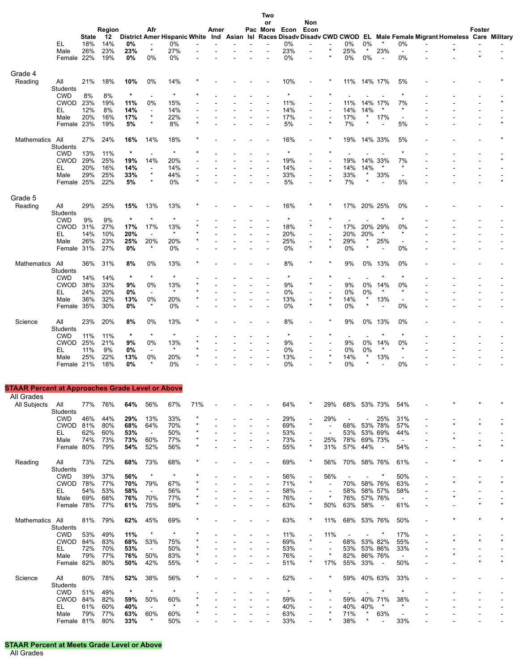|                                                         |                 |              |            |         |                          |               |     |      |  | ט אי<br>or     |                    | Non            |                          |                |                   |                |                          |                                                                                                                       |        |         |
|---------------------------------------------------------|-----------------|--------------|------------|---------|--------------------------|---------------|-----|------|--|----------------|--------------------|----------------|--------------------------|----------------|-------------------|----------------|--------------------------|-----------------------------------------------------------------------------------------------------------------------|--------|---------|
|                                                         |                 |              | Region     |         | Afr                      |               |     | Amer |  |                | Pac More Econ Econ |                |                          |                |                   |                |                          |                                                                                                                       | Foster |         |
|                                                         |                 | <b>State</b> | 12         |         |                          |               |     |      |  |                |                    |                |                          |                |                   |                |                          | District Amer Hispanic White Ind Asian Isl Races Disadv Disadv CWD CWOD EL Male Female Migrant Homeless Care Military |        |         |
|                                                         | EL.             | 18%          | 14%        | 0%      | $\overline{a}$           | 0%            |     |      |  |                | 0%                 |                |                          | 0%             | 0%                |                | 0%                       |                                                                                                                       |        |         |
|                                                         | Male            | 26%          | 23%        | 23%     | $\star$                  | 27%           |     |      |  |                | 23%                |                |                          | 25%            | $\ast$            | 23%            | $\blacksquare$           |                                                                                                                       |        |         |
|                                                         | Female 22%      |              | 19%        | 0%      | 0%                       | 0%            |     |      |  |                | 0%                 |                |                          | 0%             | 0%                | $\blacksquare$ | 0%                       |                                                                                                                       |        |         |
|                                                         |                 |              |            |         |                          |               |     |      |  |                |                    |                |                          |                |                   |                |                          |                                                                                                                       |        |         |
| Grade 4                                                 |                 |              |            |         |                          |               |     |      |  |                |                    |                |                          |                |                   |                |                          |                                                                                                                       |        |         |
| Reading                                                 | All             | 21%          | 18%        | 10%     | 0%                       | 14%           |     |      |  |                | 10%                |                |                          | 11%            | 14% 17%           |                | 5%                       |                                                                                                                       |        |         |
|                                                         | Students        |              |            |         |                          |               |     |      |  |                |                    |                |                          |                |                   |                |                          |                                                                                                                       |        |         |
|                                                         | <b>CWD</b>      | 8%           | 8%         | $\star$ | $\blacksquare$           | *             |     |      |  |                |                    |                |                          |                |                   |                | $\ast$                   |                                                                                                                       |        |         |
|                                                         | CWOD 23%        |              | 19%        | 11%     | 0%                       | 15%           |     |      |  |                | 11%                |                |                          | 11%            | 14%               | 17%            | 7%                       |                                                                                                                       |        |         |
|                                                         | EL              | 12%          | 8%         | 14%     | $\sim$                   | 14%           |     |      |  |                | 14%                |                |                          | 14%            | 14%               | $\ast$         | $\ast$                   |                                                                                                                       |        |         |
|                                                         | Male            | 20%          | 16%        | 17%     | $\star$                  | 22%           |     |      |  |                | 17%                |                |                          | 17%            | $^\ast$           | 17%            | $\overline{\phantom{a}}$ |                                                                                                                       |        |         |
|                                                         | Female 23%      |              | 19%        | 5%      | $\star$                  | 8%            |     |      |  |                | 5%                 |                |                          | 7%             |                   |                | 5%                       |                                                                                                                       |        |         |
|                                                         |                 |              |            |         |                          |               |     |      |  |                |                    |                |                          |                |                   |                |                          |                                                                                                                       |        |         |
| Mathematics                                             | All             | 27%          | 24%        | 16%     | 14%                      | 18%           |     |      |  |                | 16%                |                |                          | 19%            |                   | 14% 33%        | 5%                       |                                                                                                                       |        |         |
|                                                         | Students        |              |            |         |                          |               |     |      |  |                |                    |                |                          |                |                   |                |                          |                                                                                                                       |        |         |
|                                                         | <b>CWD</b>      | 13%          | 11%        | $\star$ | $\blacksquare$           | $\star$       |     |      |  |                | $\ast$             |                |                          |                |                   |                | $\star$                  |                                                                                                                       |        |         |
|                                                         | CWOD            | 29%          | 25%        | 19%     | 14%                      | 20%           |     |      |  |                | 19%                |                |                          | 19%            | 14%               | 33%            | 7%                       |                                                                                                                       |        | $\star$ |
|                                                         | EL              | 20%          | 16%        | 14%     |                          | 14%           |     |      |  |                | 14%                |                |                          | 14%            | 14%               |                | $\ast$                   |                                                                                                                       |        |         |
|                                                         | Male            | 29%          | 25%        | 33%     | $^\ast$                  | 44%           |     |      |  |                | 33%                |                | $\star$                  | 33%            | $\ast$            | 33%            | $\overline{\phantom{a}}$ |                                                                                                                       |        |         |
|                                                         | Female 25%      |              | 22%        | 5%      | $\star$                  | 0%            |     |      |  |                | 5%                 |                |                          | 7%             | $\star$           |                | 5%                       |                                                                                                                       |        | $\star$ |
|                                                         |                 |              |            |         |                          |               |     |      |  |                |                    |                |                          |                |                   |                |                          |                                                                                                                       |        |         |
| Grade 5                                                 |                 |              |            |         |                          |               |     |      |  |                |                    |                |                          |                |                   |                |                          |                                                                                                                       |        |         |
| Reading                                                 | All             | 29%          | 25%        | 15%     | 13%                      | 13%           |     |      |  |                | 16%                |                |                          | 17%            | 20% 25%           |                | 0%                       |                                                                                                                       |        |         |
|                                                         | Students        |              |            |         |                          |               |     |      |  |                |                    |                |                          |                |                   |                |                          |                                                                                                                       |        |         |
|                                                         | <b>CWD</b>      | 9%           | 9%         | $\star$ | $\star$                  | $\star$       |     |      |  |                |                    |                |                          |                |                   |                | $\ast$                   |                                                                                                                       |        |         |
|                                                         | CWOD            | 31%          | 27%        | 17%     | 17%                      | 13%           |     |      |  |                | 18%                |                |                          | 17%            | 20% 29%           |                | 0%                       |                                                                                                                       |        |         |
|                                                         | EL              | 14%          | 10%        | 20%     | $\overline{\phantom{a}}$ | $\star$       |     |      |  |                | 20%                |                |                          | 20%            | 20%               |                | $\ast$                   |                                                                                                                       |        |         |
|                                                         | Male            | 26%          | 23%        | 25%     | 20%<br>$\star$           | 20%           |     |      |  | $\overline{a}$ | 25%                | $\blacksquare$ |                          | 29%            | $\ast$<br>$\star$ | 25%            | $\overline{\phantom{a}}$ |                                                                                                                       |        |         |
|                                                         | Female 31%      |              | 27%        | 0%      |                          | 0%            |     |      |  |                | 0%                 |                |                          | 0%             |                   |                | 0%                       |                                                                                                                       |        |         |
|                                                         |                 |              |            |         |                          |               |     |      |  |                |                    |                |                          |                |                   |                |                          |                                                                                                                       |        |         |
| Mathematics                                             | All             | 36%          | 31%        | 8%      | 0%                       | 13%           |     |      |  |                | 8%                 |                |                          | 9%             |                   | 0% 13%         | 0%                       |                                                                                                                       |        |         |
|                                                         | Students        |              |            |         | $\star$                  | $\ast$        |     |      |  |                |                    |                |                          |                |                   |                | $\ast$                   |                                                                                                                       |        |         |
|                                                         | <b>CWD</b>      | 14%          | 14%        | $\star$ |                          |               |     |      |  |                |                    |                |                          | $\blacksquare$ |                   |                |                          |                                                                                                                       |        |         |
|                                                         | <b>CWOD</b>     | 38%          | 33%        | 9%      | 0%                       | 13%<br>$\ast$ |     |      |  |                | 9%                 |                |                          | 9%             | 0%                | 14%<br>$\ast$  | 0%<br>$\ast$             |                                                                                                                       |        |         |
|                                                         | EL              | 24%          | 20%        | 0%      | $\blacksquare$           |               |     |      |  |                | 0%                 |                |                          | 0%             | 0%<br>$\ast$      |                |                          |                                                                                                                       |        |         |
|                                                         | Male            | 36%          | 32%<br>30% | 13%     | 0%<br>$\star$            | 20%<br>0%     |     |      |  |                | 13%<br>0%          |                | $\star$                  | 14%<br>0%      | $\star$           | 13%            | $\blacksquare$<br>0%     |                                                                                                                       |        |         |
|                                                         | Female 35%      |              |            | 0%      |                          |               |     |      |  |                |                    |                |                          |                |                   |                |                          |                                                                                                                       |        |         |
|                                                         |                 |              |            |         |                          |               |     |      |  |                |                    |                |                          |                |                   |                |                          |                                                                                                                       |        |         |
| Science                                                 | All<br>Students | 23%          | 20%        | 8%      | 0%                       | 13%           |     |      |  |                | 8%                 |                |                          | 9%             | 0%                | 13%            | 0%                       |                                                                                                                       |        |         |
|                                                         | <b>CWD</b>      | 11%          | 11%        | $\star$ | $\star$                  | $\star$       |     |      |  |                | $\ast$             |                |                          | $\overline{a}$ |                   |                | $\ast$                   |                                                                                                                       |        |         |
|                                                         | <b>CWOD</b>     | 25%          | 21%        | 9%      | 0%                       | 13%           |     |      |  |                | 9%                 |                |                          | 9%             | 0%                | 14%            | 0%                       |                                                                                                                       |        |         |
|                                                         | EL              | 11%          | 9%         | 0%      | $\blacksquare$           | $\star$       |     |      |  |                | 0%                 |                |                          | $0\%$          | 0%                |                | $\ast$                   |                                                                                                                       |        |         |
|                                                         | Male            | 25%          | 22%        | 13%     | 0%                       | 20%           |     |      |  |                | 13%                |                | $\star$                  | 14%            | $\star$           | 13%            |                          |                                                                                                                       |        |         |
|                                                         | Female 21%      |              | 18%        | 0%      | $\star$                  | 0%            |     |      |  |                | 0%                 |                |                          | 0%             | $\star$           |                | 0%                       |                                                                                                                       |        |         |
|                                                         |                 |              |            |         |                          |               |     |      |  |                |                    |                |                          |                |                   |                |                          |                                                                                                                       |        |         |
|                                                         |                 |              |            |         |                          |               |     |      |  |                |                    |                |                          |                |                   |                |                          |                                                                                                                       |        |         |
| <b>STAAR Percent at Approaches Grade Level or Above</b> |                 |              |            |         |                          |               |     |      |  |                |                    |                |                          |                |                   |                |                          |                                                                                                                       |        |         |
| All Grades                                              |                 |              |            |         |                          |               |     |      |  |                |                    |                |                          |                |                   |                |                          |                                                                                                                       |        |         |
| All Subjects                                            | All             |              | 77% 76%    | 64%     | 56%                      | 67%           | 71% |      |  |                | 64%                |                | 29%                      | 68% 53% 73%    |                   |                | 54%                      |                                                                                                                       |        |         |
|                                                         | Students        |              |            |         |                          |               |     |      |  |                |                    |                |                          |                |                   |                |                          |                                                                                                                       |        |         |
|                                                         | <b>CWD</b>      | 46%          | 44%        | 29%     | 13%                      | 33%           |     |      |  |                | 29%                |                | 29%                      | $\blacksquare$ | $\sim$            | 25%            | 31%                      |                                                                                                                       |        |         |
|                                                         | CWOD 81%        |              | 80%        | 68%     | 64%                      | 70%           |     |      |  |                | 69%                |                | ÷                        | 68%            | 53% 78%           |                | 57%                      |                                                                                                                       |        |         |
|                                                         | EL.             | 62%          | 60%        | 53%     | $\blacksquare$           | 50%           |     |      |  |                | 53%                |                |                          | 53%            | 53% 69%           |                | 44%                      |                                                                                                                       |        |         |
|                                                         | Male            | 74%          | 73%        | 73%     | 60%                      | 77%           |     |      |  |                | 73%                |                | 25%                      | 78%            | 69% 73%           |                | $\blacksquare$           |                                                                                                                       |        |         |
|                                                         | Female 80%      |              | 79%        | 54%     | 52%                      | 56%           |     |      |  |                | 55%                | $\star$        | 31%                      | 57%            | 44%               | $\sim$         | 54%                      |                                                                                                                       |        |         |
|                                                         |                 |              |            |         |                          |               |     |      |  |                |                    |                |                          |                |                   |                |                          |                                                                                                                       |        |         |
| Reading                                                 | ail             | 73%          | 72%        | 68%     | 73%                      | 68%           |     |      |  | ٠              | 69%                |                | 56%                      | 70% 58% 76%    |                   |                | 61%                      |                                                                                                                       |        |         |
|                                                         | Students        |              |            |         |                          |               |     |      |  |                |                    |                |                          |                |                   |                |                          |                                                                                                                       |        |         |
|                                                         | <b>CWD</b>      | 39%          | 37%        | 56%     | $\ast$                   |               |     |      |  |                | 56%                |                | 56%                      |                | $\blacksquare$    | $\ast$         | 50%                      |                                                                                                                       |        |         |
|                                                         | CWOD 78%        |              | 77%        | 70%     | 79%                      | 67%           |     |      |  |                | 71%                | $\star$        | $\blacksquare$           | 70%            | 58% 76%           |                | 63%                      |                                                                                                                       |        |         |
|                                                         | EL.             | 54%          | 53%        | 58%     | $\overline{\phantom{a}}$ | 56%           |     |      |  |                | 58%                |                |                          | 58%            | 58% 57%           |                | 58%                      |                                                                                                                       |        |         |
|                                                         | Male            | 69%          | 68%        | 76%     | 70%                      | 77%           |     |      |  |                | 76%                |                | $\star$                  | 76% 57% 76%    |                   |                | $\blacksquare$           |                                                                                                                       |        |         |
|                                                         | Female 78%      |              | 77%        | 61%     | 75%                      | 59%           |     |      |  |                | 63%                |                | 50%                      | 63%            | 58%               | $\blacksquare$ | 61%                      |                                                                                                                       |        |         |
|                                                         |                 |              |            |         |                          |               |     |      |  |                |                    |                |                          |                |                   |                |                          |                                                                                                                       |        |         |
| Mathematics All                                         |                 |              | 81% 79%    | 62%     | 45%                      | 69%           |     |      |  |                | 63%                |                | 11%                      | 68% 53% 76%    |                   |                | 50%                      |                                                                                                                       |        |         |
|                                                         | Students        |              |            |         |                          |               |     |      |  |                |                    |                |                          |                |                   |                |                          |                                                                                                                       |        |         |
|                                                         | <b>CWD</b>      | 53%          | 49%        | 11%     | $\star$                  | $\star$       |     |      |  |                | 11%                |                | 11%                      | $\sim$         | $\sim$            | $^\star$       | 17%                      |                                                                                                                       |        |         |
|                                                         | CWOD 84%        |              | 83%        | 68%     | 53%                      | 75%           |     |      |  |                | 69%                | $\ast$         |                          | 68%            | 53% 82%           |                | 55%                      |                                                                                                                       |        |         |
|                                                         | EL.             | 72%          | 70%        | 53%     | $\sim$                   | 50%           |     |      |  |                | 53%                |                | $\overline{\phantom{a}}$ | 53% 53% 86%    |                   |                | 33%                      |                                                                                                                       |        |         |
|                                                         | Male            | 79%          | 77%        | 76%     | 50%                      | 83%           |     |      |  |                | 76%                |                | $\star$                  | 82%            | 86% 76%           |                | $\blacksquare$           |                                                                                                                       |        |         |
|                                                         | Female 82%      |              | 80%        | 50%     | 42%                      | 55%           |     |      |  |                | 51%                |                | 17%                      | 55%            | 33%               | $\blacksquare$ | 50%                      |                                                                                                                       |        |         |
|                                                         |                 |              |            |         |                          |               |     |      |  |                |                    |                |                          |                |                   |                |                          |                                                                                                                       |        |         |
| Science                                                 | All             | 80%          | 78%        | 52%     | 38%                      | 56%           |     |      |  |                | 52%                |                |                          | 59%            | 40% 63%           |                | 33%                      |                                                                                                                       |        |         |
|                                                         | Students        |              |            |         |                          |               |     |      |  |                |                    |                |                          |                |                   |                |                          |                                                                                                                       |        |         |
|                                                         | <b>CWD</b>      | 51%          | 49%        | $\star$ | $\star$                  | $\star$       |     |      |  |                |                    |                |                          |                |                   |                |                          |                                                                                                                       |        |         |
|                                                         | CWOD 84%        |              | 82%        | 59%     | 50%                      | 60%           |     |      |  |                | 59%                |                |                          | 59%            | 40% 71%           |                | 38%                      |                                                                                                                       |        |         |
|                                                         | EL.             | 61%          | 60%        | 40%     |                          | $\star$       |     |      |  |                | 40%                |                |                          | 40%            | 40%               | $\star$        | $\ast$                   |                                                                                                                       |        |         |
|                                                         | Male            | 79%          | 77%        | 63%     | 60%                      | 60%           |     |      |  |                | 63%                |                |                          | 71%            | $\star$           | 63%            | $\blacksquare$           |                                                                                                                       |        |         |
|                                                         | Female 81%      |              | 80%        | 33%     |                          | 50%           |     |      |  |                | 33%                |                |                          | 38%            | $\star$           | $\blacksquare$ | 33%                      |                                                                                                                       |        |         |

**Two**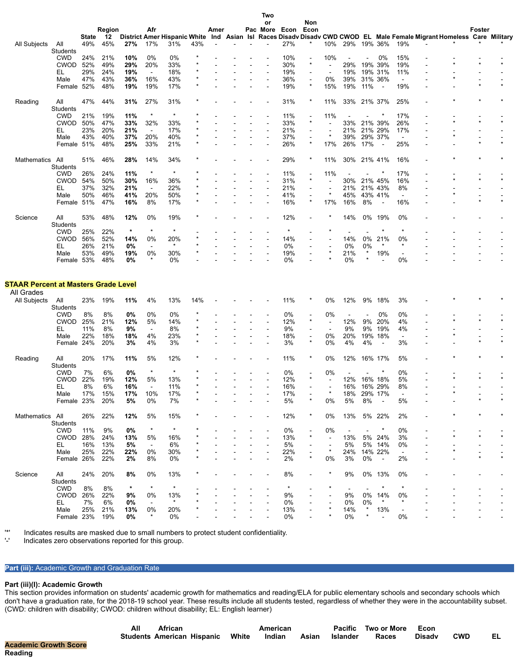|                                                           |                 |       |        |         |                          |         |     |      |  | or |               | Non     |                          |                          |                          |                |                |                                                                                                                       |         |        |  |
|-----------------------------------------------------------|-----------------|-------|--------|---------|--------------------------|---------|-----|------|--|----|---------------|---------|--------------------------|--------------------------|--------------------------|----------------|----------------|-----------------------------------------------------------------------------------------------------------------------|---------|--------|--|
|                                                           |                 |       | Region |         | Afr                      |         |     | Amer |  |    | Pac More Econ | Econ    |                          |                          |                          |                |                |                                                                                                                       |         | Foster |  |
|                                                           |                 | State | 12     |         |                          |         |     |      |  |    |               |         |                          |                          |                          |                |                | District Amer Hispanic White Ind Asian Isl Races Disadv Disadv CWD CWOD EL Male Female Migrant Homeless Care Military |         |        |  |
| All Subjects                                              | All             | 49%   | 45%    | 27%     | 17%                      | 31%     | 43% |      |  |    | 27%           |         | 10%                      | 29%                      |                          | 19% 36%        | 19%            |                                                                                                                       |         |        |  |
|                                                           | <b>Students</b> |       |        |         |                          |         |     |      |  |    |               |         |                          |                          |                          |                |                |                                                                                                                       |         |        |  |
|                                                           | <b>CWD</b>      | 24%   | 21%    | 10%     | 0%                       | 0%      |     |      |  |    | 10%           |         | 10%                      |                          |                          | 0%             | 15%            |                                                                                                                       |         |        |  |
|                                                           | <b>CWOD</b>     | 52%   | 49%    | 29%     | 20%                      | 33%     |     |      |  |    | 30%           |         | $\blacksquare$           | 29%                      |                          | 19% 39%        | 19%            |                                                                                                                       |         |        |  |
|                                                           | EL              | 29%   | 24%    | 19%     | $\blacksquare$           | 18%     |     |      |  |    | 19%           |         |                          | 19%                      |                          | 19% 31%        | 11%            |                                                                                                                       |         |        |  |
|                                                           | Male            | 47%   | 43%    | 36%     | 16%                      | 43%     |     |      |  |    | 36%           | $\star$ | 0%                       | 39%                      |                          | 31% 36%        | $\blacksquare$ |                                                                                                                       |         |        |  |
|                                                           | Female 52%      |       | 48%    | 19%     | 19%                      | 17%     |     |      |  |    | 19%           |         | 15%                      | 19%                      | 11%                      | $\blacksquare$ | 19%            |                                                                                                                       |         |        |  |
|                                                           |                 |       |        |         |                          |         |     |      |  |    |               |         |                          |                          |                          |                |                |                                                                                                                       |         |        |  |
| Reading                                                   | All             | 47%   | 44%    | 31%     | 27%                      | 31%     |     |      |  |    | 31%           |         | 11%                      | 33%                      |                          | 21% 37%        | 25%            |                                                                                                                       |         |        |  |
|                                                           | Students        |       |        |         | $\star$                  | $\ast$  |     |      |  |    |               |         |                          |                          |                          |                |                |                                                                                                                       |         |        |  |
|                                                           | <b>CWD</b>      | 21%   | 19%    | 11%     |                          |         |     |      |  |    | 11%           |         | 11%                      |                          |                          |                | 17%            |                                                                                                                       |         |        |  |
|                                                           | <b>CWOD</b>     | 50%   | 47%    | 33%     | 32%                      | 33%     |     |      |  |    | 33%           |         |                          | 33%                      |                          | 21% 39%        | 26%            |                                                                                                                       |         |        |  |
|                                                           | EL              | 23%   | 20%    | 21%     | $\sim$                   | 17%     |     |      |  |    | 21%           |         | $^\star$                 | 21%                      |                          | 21% 29%        | 17%            |                                                                                                                       | *       |        |  |
|                                                           | Male            | 43%   | 40%    | 37%     | 20%                      | 40%     |     |      |  |    | 37%           |         |                          | 39%                      |                          | 29% 37%        | $\blacksquare$ |                                                                                                                       |         |        |  |
|                                                           | Female 51%      |       | 48%    | 25%     | 33%                      | 21%     |     |      |  |    | 26%           |         | 17%                      | 26%                      | 17%                      | $\blacksquare$ | 25%            |                                                                                                                       |         |        |  |
|                                                           |                 |       |        |         |                          |         |     |      |  |    |               |         |                          |                          |                          |                |                |                                                                                                                       |         |        |  |
| Mathematics                                               | All             | 51%   | 46%    | 28%     | 14%                      | 34%     |     |      |  |    | 29%           |         | 11%                      | 30%                      |                          | 21% 41%        | 16%            |                                                                                                                       |         |        |  |
|                                                           | Students        |       |        |         | $\ast$                   | $\ast$  |     |      |  |    |               |         |                          |                          |                          |                |                |                                                                                                                       |         |        |  |
|                                                           | <b>CWD</b>      | 26%   | 24%    | 11%     |                          |         |     |      |  |    | 11%           | $\star$ | 11%                      |                          |                          |                | 17%            |                                                                                                                       |         |        |  |
|                                                           | <b>CWOD</b>     | 54%   | 50%    | 30%     | 16%                      | 36%     |     |      |  |    | 31%           |         |                          | 30%                      |                          | 21% 45%        | 16%            |                                                                                                                       |         |        |  |
|                                                           | EL              | 37%   | 32%    | 21%     | $\blacksquare$           | 22%     |     |      |  |    | 21%           |         | ×                        | 21%                      |                          | 21% 43%        | 8%             |                                                                                                                       |         |        |  |
|                                                           | Male            | 50%   | 46%    | 41%     | 20%                      | 50%     |     |      |  |    | 41%           |         |                          | 45%                      |                          | 43% 41%        | $\blacksquare$ |                                                                                                                       |         |        |  |
|                                                           | Female 51%      |       | 47%    | 16%     | 8%                       | 17%     |     |      |  |    | 16%           |         | 17%                      | 16%                      | 8%                       | $\blacksquare$ | 16%            |                                                                                                                       |         |        |  |
|                                                           |                 |       |        |         |                          |         |     |      |  |    |               |         |                          |                          |                          |                |                |                                                                                                                       |         |        |  |
| Science                                                   | All             | 53%   | 48%    | 12%     | 0%                       | 19%     |     |      |  |    | 12%           |         |                          | 14%                      | 0%                       | 19%            | 0%             |                                                                                                                       |         |        |  |
|                                                           | <b>Students</b> |       |        |         |                          |         |     |      |  |    |               |         |                          |                          |                          |                |                |                                                                                                                       |         |        |  |
|                                                           | CWD             | 25%   | 22%    | $\star$ | $\star$                  | $\ast$  |     |      |  |    |               |         |                          |                          |                          |                | $\ast$         |                                                                                                                       |         |        |  |
|                                                           | <b>CWOD</b>     | 56%   | 52%    | 14%     | 0%                       | 20%     |     |      |  |    | 14%           |         |                          | 14%                      | 0%                       | 21%            | 0%             |                                                                                                                       |         |        |  |
|                                                           | EL              | 26%   | 21%    | 0%      | $\overline{\phantom{a}}$ |         |     |      |  |    | 0%            |         |                          | 0%                       | 0%                       |                | $\ast$         |                                                                                                                       |         |        |  |
|                                                           | Male            | 53%   | 49%    | 19%     | 0%                       | 30%     |     |      |  |    | 19%           |         |                          | 21%                      | $\star$                  | 19%            | $\blacksquare$ |                                                                                                                       |         |        |  |
|                                                           | Female 53%      |       | 48%    | 0%      |                          | 0%      |     |      |  |    | 0%            |         |                          | 0%                       |                          |                | 0%             |                                                                                                                       |         |        |  |
| <b>STAAR Percent at Masters Grade Level</b><br>All Grades |                 |       |        |         |                          |         |     |      |  |    |               |         |                          |                          |                          |                |                |                                                                                                                       |         |        |  |
| All Subjects                                              | All             | 23%   | 19%    | 11%     | 4%                       | 13%     | 14% |      |  |    | 11%           |         | 0%                       | 12%                      | 9%                       | 18%            | 3%             |                                                                                                                       |         |        |  |
|                                                           | Students        |       |        |         |                          |         |     |      |  |    |               |         |                          |                          |                          |                |                |                                                                                                                       |         |        |  |
|                                                           | <b>CWD</b>      | 8%    | 8%     | 0%      | 0%                       | 0%      |     |      |  |    | 0%            |         | 0%                       |                          |                          | 0%             | 0%             |                                                                                                                       |         |        |  |
|                                                           | <b>CWOD</b>     | 25%   | 21%    | 12%     | 5%                       | 14%     |     |      |  |    | 12%           |         | $\overline{\phantom{a}}$ | 12%                      | 9%                       | 20%            | 4%             |                                                                                                                       |         |        |  |
|                                                           | EL              | 11%   | 8%     | 9%      | $\sim$                   | 8%      |     |      |  |    | 9%            |         |                          | 9%                       | 9%                       | 19%            | 4%             |                                                                                                                       |         |        |  |
|                                                           | Male            | 22%   | 18%    | 18%     | 4%                       | 23%     |     |      |  |    | 18%           |         | 0%                       | 20%                      |                          | 19% 18%        | $\blacksquare$ |                                                                                                                       |         |        |  |
|                                                           | Female 24%      |       | 20%    | 3%      | 4%                       | 3%      |     |      |  |    | 3%            |         | 0%                       | 4%                       | 4%                       |                | 3%             |                                                                                                                       |         |        |  |
|                                                           |                 |       |        |         |                          |         |     |      |  |    |               |         |                          |                          |                          |                |                |                                                                                                                       |         |        |  |
| Reading                                                   | All             | 20%   | 17%    | 11%     | 5%                       | 12%     |     |      |  |    | 11%           |         | 0%                       | 12%                      |                          | 16% 17%        | 5%             |                                                                                                                       |         |        |  |
|                                                           | <b>Students</b> |       |        |         |                          |         |     |      |  |    |               |         |                          |                          |                          |                |                |                                                                                                                       |         |        |  |
|                                                           | <b>CWD</b>      | 7%    | 6%     | 0%      | $\ast$                   |         |     |      |  |    | 0%            |         | 0%                       |                          |                          |                | 0%             |                                                                                                                       |         |        |  |
|                                                           | <b>CWOD</b>     | 22%   | 19%    | 12%     | 5%                       | 13%     |     |      |  |    | 12%           |         |                          | 12%                      |                          | 16% 18%        | 5%             |                                                                                                                       |         |        |  |
|                                                           | EL              | 8%    | 6%     | 16%     | $\sim$                   | 11%     |     |      |  |    | 16%           |         |                          | 16%                      |                          | 16% 29%        | 8%             |                                                                                                                       |         |        |  |
|                                                           | Male            | 17%   | 15%    | 17%     | 10%                      | 17%     |     |      |  |    | 17%           |         | $\ast$                   | 18%                      |                          | 29% 17%        | $\blacksquare$ |                                                                                                                       | $\star$ |        |  |
|                                                           | Female 23%      |       | 20%    | 5%      | 0%                       | 7%      |     |      |  |    | 5%            |         | 0%                       | 5%                       | 8%                       |                | 5%             |                                                                                                                       |         |        |  |
|                                                           |                 |       |        |         |                          |         |     |      |  |    |               |         |                          |                          |                          |                |                |                                                                                                                       |         |        |  |
| Mathematics All                                           |                 | 26%   | 22%    | 12%     | 5%                       | 15%     |     |      |  |    | 12%           |         | 0%                       | 13%                      |                          | 5% 22%         | 2%             |                                                                                                                       |         |        |  |
|                                                           | Students        |       |        |         |                          |         |     |      |  |    |               |         |                          |                          |                          |                |                |                                                                                                                       |         |        |  |
|                                                           | <b>CWD</b>      | 11%   | 9%     | 0%      | $\star$                  | $\ast$  |     |      |  |    | 0%            |         | 0%                       | $\overline{\phantom{a}}$ | $\overline{\phantom{a}}$ | $\ast$         | 0%             |                                                                                                                       |         |        |  |
|                                                           | <b>CWOD 28%</b> |       | 24%    | 13%     | 5%                       | 16%     |     |      |  |    | 13%           | $\star$ | $\overline{\phantom{a}}$ | 13%                      |                          | 5% 24%         | 3%             |                                                                                                                       |         |        |  |
|                                                           | EL.             | 16%   | 13%    | 5%      | $\sim$                   | 6%      |     |      |  |    | 5%            |         |                          | 5%                       |                          | 5% 14%         | 0%             |                                                                                                                       |         |        |  |
|                                                           | Male            | 25%   | 22%    | 22%     | 0%                       | 30%     |     |      |  |    | 22%           |         | $\ast$                   | 24%                      |                          | 14% 22%        | $\blacksquare$ |                                                                                                                       |         |        |  |
|                                                           | Female 26%      |       | 22%    | 2%      | 8%                       | 0%      |     |      |  |    | 2%            |         | 0%                       | 3%                       | 0%                       | $\blacksquare$ | 2%             |                                                                                                                       |         |        |  |
|                                                           |                 |       |        |         |                          |         |     |      |  |    |               |         |                          |                          |                          |                |                |                                                                                                                       |         |        |  |
| Science                                                   | aii             | 24%   | 20%    | 8%      | 0%                       | 13%     |     |      |  |    | 8%            |         |                          | 9%                       |                          | 0% 13%         | 0%             |                                                                                                                       |         |        |  |
|                                                           | Students        |       |        |         |                          |         |     |      |  |    |               |         |                          |                          |                          |                |                |                                                                                                                       |         |        |  |
|                                                           | <b>CWD</b>      | 8%    | 8%     | $\star$ | $\star$                  | $\star$ |     |      |  |    | $\star$       |         |                          | $\overline{\phantom{a}}$ | $\blacksquare$           | $\star$        | $\star$        |                                                                                                                       |         |        |  |
|                                                           | CWOD 26%        |       | 22%    | 9%      | 0%                       | 13%     |     |      |  |    | 9%            |         |                          | 9%                       | 0%                       | 14%            | 0%             |                                                                                                                       |         |        |  |
|                                                           | EL.             | 7%    | 6%     | 0%      |                          | $\star$ |     |      |  |    | 0%            |         |                          | 0%                       | 0%                       | $\ast$         | $\ast$         |                                                                                                                       |         |        |  |
|                                                           | Male            | 25%   | 21%    | 13%     | 0%                       | 20%     |     |      |  |    | 13%           |         |                          | 14%                      |                          | 13%            | $\sim$         |                                                                                                                       |         |        |  |
|                                                           | Female 23%      |       | 19%    | 0%      | $\star$                  | 0%      |     |      |  |    | 0%            |         |                          | 0%                       | $\star$                  |                | 0%             |                                                                                                                       |         |        |  |

**Two**

'\*' Indicates results are masked due to small numbers to protect student confidentiality.

Indicates zero observations reported for this group.

# **Part (iii):** Academic Growth and Graduation Rate

#### **Part (iii)(I): Academic Growth**

This section provides information on students' academic growth for mathematics and reading/ELA for public elementary schools and secondary schools which don't have a graduation rate, for the 2018-19 school year. These results include all students tested, regardless of whether they were in the accountability subset. (CWD: children with disability; CWOD: children without disability; EL: English learner)

|              | All | <b>African</b> |                                  | American |       |          | Pacific Two or More Econ |               |            |  |
|--------------|-----|----------------|----------------------------------|----------|-------|----------|--------------------------|---------------|------------|--|
|              |     |                | Students American Hispanic White | Indian   | Asian | Islander | Races                    | <b>Disady</b> | <b>CWD</b> |  |
| <b>Score</b> |     |                |                                  |          |       |          |                          |               |            |  |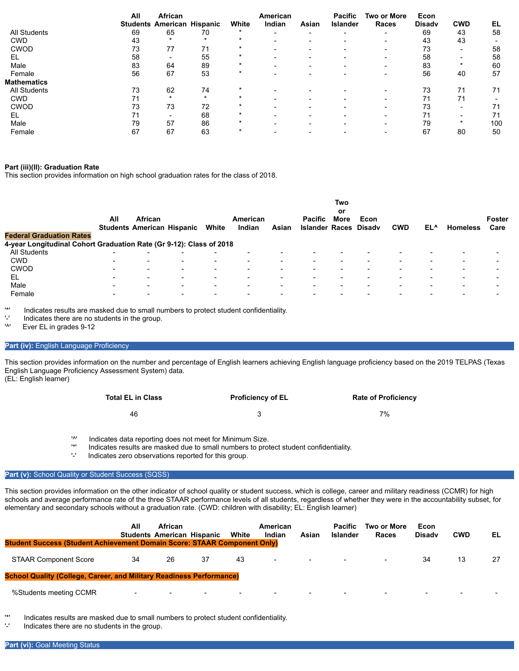|                     | All | African<br><b>Students American Hispanic</b> |    | White   | American<br>Indian       | Asian | <b>Pacific</b><br><b>Islander</b> | <b>Two or More</b><br>Races | Econ<br><b>Disady</b> | <b>CWD</b>               | EL  |
|---------------------|-----|----------------------------------------------|----|---------|--------------------------|-------|-----------------------------------|-----------------------------|-----------------------|--------------------------|-----|
| <b>All Students</b> | 69  | 65                                           | 70 | $\star$ | $\overline{\phantom{0}}$ |       | -                                 | $\overline{\phantom{0}}$    | 69                    | 43                       | 58  |
| <b>CWD</b>          | 43  |                                              |    | $\star$ |                          |       |                                   |                             | 43                    | 43                       |     |
| <b>CWOD</b>         | 73  | 77                                           |    | $\star$ | -                        |       |                                   | $\overline{\phantom{0}}$    | 73                    | $\overline{\phantom{0}}$ | 58  |
| EL                  | 58  | -                                            | 55 |         |                          |       |                                   |                             | 58                    | -                        | 58  |
| Male                | 83  | 64                                           | 89 | $\star$ |                          |       |                                   | $\overline{\phantom{0}}$    | 83                    | $\star$                  | 60  |
| Female              | 56  | 67                                           | 53 | $\star$ |                          |       |                                   |                             | 56                    | 40                       | 57  |
| <b>Mathematics</b>  |     |                                              |    |         |                          |       |                                   |                             |                       |                          |     |
| <b>All Students</b> | 73  | 62                                           | 74 |         |                          |       |                                   |                             | 73                    | 71                       | 71  |
| <b>CWD</b>          | 71  | $\star$                                      |    | $\star$ |                          |       |                                   |                             | 71                    | 71                       |     |
| <b>CWOD</b>         | 73  | 73                                           | 72 | $\star$ |                          |       |                                   |                             | 73                    | -                        | 71  |
| EL                  |     |                                              | 68 |         |                          |       |                                   |                             |                       | -                        | 71  |
| Male                | 79  | 57                                           | 86 |         |                          |       |                                   | $\overline{\phantom{0}}$    | 79                    | $\star$                  | 100 |
| Female              | 67  | 67                                           | 63 |         |                          |       |                                   |                             | 67                    | 80                       | 50  |

#### **Part (iii)(II): Graduation Rate**

This section provides information on high school graduation rates for the class of 2018.

| <b>Federal Graduation Rates</b>                                     | All                      | <b>African</b>           | <b>Students American Hispanic</b> | White                    | American<br>Indian       | Asian                    | <b>Pacific</b><br><b>Islander Races Disady</b> | Two<br>or<br><b>More</b> | Econ | <b>CWD</b>               | EL^                      | <b>Homeless</b>          | <b>Foster</b><br>Care |
|---------------------------------------------------------------------|--------------------------|--------------------------|-----------------------------------|--------------------------|--------------------------|--------------------------|------------------------------------------------|--------------------------|------|--------------------------|--------------------------|--------------------------|-----------------------|
|                                                                     |                          |                          |                                   |                          |                          |                          |                                                |                          |      |                          |                          |                          |                       |
| 4-year Longitudinal Cohort Graduation Rate (Gr 9-12): Class of 2018 |                          |                          |                                   |                          |                          |                          |                                                |                          |      |                          |                          |                          |                       |
| <b>All Students</b>                                                 | $\overline{\phantom{0}}$ | -                        | $\overline{\phantom{0}}$          | -                        |                          |                          |                                                |                          |      |                          |                          |                          |                       |
| <b>CWD</b>                                                          | $\overline{\phantom{0}}$ | $\overline{\phantom{a}}$ | $\overline{\phantom{0}}$          | $\overline{\phantom{0}}$ | $\overline{\phantom{0}}$ | -                        |                                                | -                        |      | $\overline{\phantom{0}}$ | $\overline{\phantom{0}}$ |                          |                       |
| <b>CWOD</b>                                                         | -                        | $\overline{\phantom{a}}$ | $\overline{\phantom{0}}$          | $\overline{\phantom{0}}$ | $\overline{\phantom{0}}$ | -                        |                                                |                          |      |                          | -                        |                          |                       |
| EL                                                                  | $\overline{\phantom{a}}$ | $\overline{\phantom{a}}$ | $\overline{\phantom{0}}$          | $\overline{\phantom{a}}$ | $\overline{\phantom{0}}$ | $\overline{\phantom{0}}$ |                                                |                          |      |                          | $\overline{\phantom{0}}$ |                          |                       |
| Male                                                                | $\overline{\phantom{a}}$ | $\overline{\phantom{a}}$ | $\overline{\phantom{0}}$          | $\overline{\phantom{a}}$ | $\overline{\phantom{0}}$ | $\overline{\phantom{0}}$ | $\overline{\phantom{0}}$                       | -                        |      | . .                      | $\overline{\phantom{0}}$ | $\overline{\phantom{0}}$ |                       |
| Female                                                              | $\overline{\phantom{a}}$ | $\overline{\phantom{a}}$ | $\overline{\phantom{0}}$          | $\overline{\phantom{a}}$ | -                        | -                        |                                                |                          |      |                          | -                        |                          |                       |

'\*' Indicates results are masked due to small numbers to protect student confidentiality.

 $'$ -' Indicates there are no students in the group.

Ever EL in grades 9-12

#### Part (iv): English Language Proficiency

This section provides information on the number and percentage of English learners achieving English language proficiency based on the 2019 TELPAS (Texas English Language Proficiency Assessment System) data. (EL: English learner)

| <b>Total EL in Class</b> | <b>Proficiency of EL</b> | <b>Rate of Proficiency</b> |
|--------------------------|--------------------------|----------------------------|
| 46                       |                          | 7%                         |

'^' Indicates data reporting does not meet for Minimum Size.

'\*' Indicates results are masked due to small numbers to protect student confidentiality.

Indicates zero observations reported for this group.

#### Part (v): School Quality or Student Success (SQSS)

This section provides information on the other indicator of school quality or student success, which is college, career and military readiness (CCMR) for high schools and average performance rate of the three STAAR performance levels of all students, regardless of whether they were in the accountability subset, for elementary and secondary schools without a graduation rate. (CWD: children with disability; EL: English learner)

| <b>Student Success (Student Achievement Domain Score: STAAR Component Only)</b> | All                      | African | <b>Students American Hispanic</b> | White | American<br>Indian       | Asian                    | <b>Pacific</b><br><b>Islander</b> | Two or More<br>Races     | Econ<br><b>Disady</b> | <b>CWD</b> | ΕL |
|---------------------------------------------------------------------------------|--------------------------|---------|-----------------------------------|-------|--------------------------|--------------------------|-----------------------------------|--------------------------|-----------------------|------------|----|
| <b>STAAR Component Score</b>                                                    | 34                       | 26      | 37                                | 43    | $\overline{\phantom{0}}$ | $\overline{\phantom{0}}$ | $\sim$                            | $\overline{\phantom{a}}$ | 34                    | 13         |    |
| <b>School Quality (College, Career, and Military Readiness Performance)</b>     |                          |         |                                   |       |                          |                          |                                   |                          |                       |            |    |
| %Students meeting CCMR                                                          | $\overline{\phantom{a}}$ |         |                                   |       | $\overline{\phantom{0}}$ | -                        |                                   |                          |                       |            |    |

'\*' Indicates results are masked due to small numbers to protect student confidentiality.

Indicates there are no students in the group.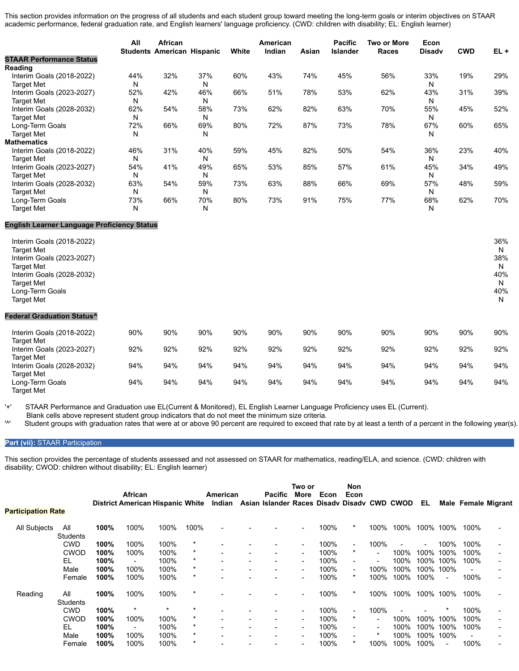This section provides information on the progress of all students and each student group toward meeting the long-term goals or interim objectives on STAAR academic performance, federal graduation rate, and English learners' language proficiency. (CWD: children with disability; EL: English learner)

|                                                                                                                                                                       | All | African<br><b>Students American Hispanic</b> |     | White | American<br>Indian | Asian | <b>Pacific</b><br><b>Islander</b> | <b>Two or More</b><br><b>Races</b> | Econ<br><b>Disadv</b> | <b>CWD</b> | $EL +$                                  |
|-----------------------------------------------------------------------------------------------------------------------------------------------------------------------|-----|----------------------------------------------|-----|-------|--------------------|-------|-----------------------------------|------------------------------------|-----------------------|------------|-----------------------------------------|
| <b>STAAR Performance Status</b>                                                                                                                                       |     |                                              |     |       |                    |       |                                   |                                    |                       |            |                                         |
| Reading                                                                                                                                                               |     |                                              |     |       |                    |       |                                   |                                    |                       |            |                                         |
| Interim Goals (2018-2022)                                                                                                                                             | 44% | 32%                                          | 37% | 60%   | 43%                | 74%   | 45%                               | 56%                                | 33%                   | 19%        | 29%                                     |
| <b>Target Met</b>                                                                                                                                                     | N   |                                              | N   |       |                    |       |                                   |                                    | N                     |            |                                         |
| Interim Goals (2023-2027)                                                                                                                                             | 52% | 42%                                          | 46% | 66%   | 51%                | 78%   | 53%                               | 62%                                | 43%                   | 31%        | 39%                                     |
| <b>Target Met</b>                                                                                                                                                     | N   |                                              | N   |       |                    |       |                                   |                                    | N                     |            |                                         |
| Interim Goals (2028-2032)                                                                                                                                             | 62% | 54%                                          | 58% | 73%   | 62%                | 82%   | 63%                               | 70%                                | 55%                   | 45%        | 52%                                     |
| <b>Target Met</b>                                                                                                                                                     | N   |                                              | N   |       |                    |       |                                   |                                    | N                     |            |                                         |
| Long-Term Goals                                                                                                                                                       | 72% | 66%                                          | 69% | 80%   | 72%                | 87%   | 73%                               | 78%                                | 67%                   | 60%        | 65%                                     |
| <b>Target Met</b>                                                                                                                                                     | N   |                                              | N   |       |                    |       |                                   |                                    | N                     |            |                                         |
| <b>Mathematics</b>                                                                                                                                                    |     |                                              |     |       |                    |       |                                   |                                    |                       |            |                                         |
| Interim Goals (2018-2022)                                                                                                                                             | 46% | 31%                                          | 40% | 59%   | 45%                | 82%   | 50%                               | 54%                                | 36%                   | 23%        | 40%                                     |
| <b>Target Met</b>                                                                                                                                                     | N   |                                              | N   |       |                    |       |                                   |                                    | N                     |            |                                         |
| Interim Goals (2023-2027)                                                                                                                                             | 54% | 41%                                          | 49% | 65%   | 53%                | 85%   | 57%                               | 61%                                | 45%                   | 34%        | 49%                                     |
| <b>Target Met</b>                                                                                                                                                     | N   |                                              | N   |       |                    |       |                                   |                                    | N                     |            |                                         |
| Interim Goals (2028-2032)                                                                                                                                             | 63% | 54%                                          | 59% | 73%   | 63%                | 88%   | 66%                               | 69%                                | 57%                   | 48%        | 59%                                     |
| <b>Target Met</b>                                                                                                                                                     | N   |                                              | N   |       |                    |       |                                   |                                    | N                     |            |                                         |
| Long-Term Goals                                                                                                                                                       | 73% | 66%                                          | 70% | 80%   | 73%                | 91%   | 75%                               | 77%                                | 68%                   | 62%        | 70%                                     |
| <b>Target Met</b>                                                                                                                                                     | N   |                                              | N   |       |                    |       |                                   |                                    | N                     |            |                                         |
| <b>English Learner Language Proficiency Status</b>                                                                                                                    |     |                                              |     |       |                    |       |                                   |                                    |                       |            |                                         |
| Interim Goals (2018-2022)<br><b>Target Met</b><br>Interim Goals (2023-2027)<br><b>Target Met</b><br>Interim Goals (2028-2032)<br><b>Target Met</b><br>Long-Term Goals |     |                                              |     |       |                    |       |                                   |                                    |                       |            | 36%<br>N<br>38%<br>N<br>40%<br>N<br>40% |
| <b>Target Met</b><br><b>Federal Graduation Status^</b>                                                                                                                |     |                                              |     |       |                    |       |                                   |                                    |                       |            | N                                       |
|                                                                                                                                                                       |     |                                              |     |       |                    |       |                                   |                                    |                       |            |                                         |
| Interim Goals (2018-2022)                                                                                                                                             | 90% | 90%                                          | 90% | 90%   | 90%                | 90%   | 90%                               | 90%                                | 90%                   | 90%        | 90%                                     |
| <b>Target Met</b>                                                                                                                                                     |     |                                              |     |       |                    |       |                                   |                                    |                       |            |                                         |
| Interim Goals (2023-2027)                                                                                                                                             | 92% | 92%                                          | 92% | 92%   | 92%                | 92%   | 92%                               | 92%                                | 92%                   | 92%        | 92%                                     |
| <b>Target Met</b>                                                                                                                                                     |     |                                              |     |       |                    |       |                                   |                                    |                       |            |                                         |
| Interim Goals (2028-2032)                                                                                                                                             | 94% | 94%                                          | 94% | 94%   | 94%                | 94%   | 94%                               | 94%                                | 94%                   | 94%        | 94%                                     |
| <b>Target Met</b>                                                                                                                                                     |     |                                              |     |       |                    |       |                                   |                                    |                       |            |                                         |
| Long-Term Goals<br><b>Target Met</b>                                                                                                                                  | 94% | 94%                                          | 94% | 94%   | 94%                | 94%   | 94%                               | 94%                                | 94%                   | 94%        | 94%                                     |

'+' STAAR Performance and Graduation use EL(Current & Monitored), EL English Learner Language Proficiency uses EL (Current).

Blank cells above represent student group indicators that do not meet the minimum size criteria.<br>Student groups with graduation rates that were at or above 90 percent are required to exceed the Student groups with graduation rates that were at or above 90 percent are required to exceed that rate by at least a tenth of a percent in the following year(s)

### **Part (vii):** STAAR Participation

This section provides the percentage of students assessed and not assessed on STAAR for mathematics, reading/ELA, and science. (CWD: children with disability; CWOD: children without disability; EL: English learner)

| <b>Participation Rate</b> |                 |      | African                  | <b>District American Hispanic White</b> |         | American<br>Indian | <b>Pacific</b><br>Asian Islander Races Disady Disady CWD CWOD | Two or<br>More | Econ | Non.<br>Econ             |      |      | EL.  |                          | <b>Male Female Migrant</b> |  |
|---------------------------|-----------------|------|--------------------------|-----------------------------------------|---------|--------------------|---------------------------------------------------------------|----------------|------|--------------------------|------|------|------|--------------------------|----------------------------|--|
|                           |                 |      |                          |                                         |         |                    |                                                               |                |      |                          |      |      |      |                          |                            |  |
| All Subjects              | All             | 100% | 100%                     | 100%                                    | 100%    |                    |                                                               |                | 100% | *                        | 100% | 100% |      | 100% 100%                | 100%                       |  |
|                           | <b>Students</b> |      |                          |                                         | $\ast$  |                    |                                                               |                |      |                          |      |      |      |                          |                            |  |
|                           | <b>CWD</b>      | 100% | 100%                     | 100%                                    |         |                    |                                                               |                | 100% | ٠                        | 100% |      |      | 100%                     | 100%                       |  |
|                           | <b>CWOD</b>     | 100% | 100%                     | 100%                                    | $\ast$  |                    |                                                               | ۰              | 100% | $\ast$                   |      | 100% | 100% | 100%                     | 100%                       |  |
|                           | EL              | 100% |                          | 100%                                    | $\ast$  |                    |                                                               |                | 100% |                          |      | 100% | 100% | 100%                     | 100%                       |  |
|                           | Male            | 100% | 100%                     | 100%                                    | $\ast$  |                    |                                                               |                | 100% | ٠                        | 100% | 100% | 100% | 100%                     |                            |  |
|                           | Female          | 100% | 100%                     | 100%                                    | $\star$ |                    |                                                               |                | 100% | $\star$                  | 100% | 100% | 100% | $\overline{\phantom{a}}$ | 100%                       |  |
| Reading                   | All             | 100% | 100%                     | 100%                                    | $\star$ |                    |                                                               |                | 100% | *                        | 100% | 100% | 100% | 100%                     | 100%                       |  |
|                           | <b>Students</b> |      |                          |                                         |         |                    |                                                               |                |      |                          |      |      |      |                          |                            |  |
|                           | <b>CWD</b>      | 100% | $\ast$                   |                                         |         |                    |                                                               |                | 100% | $\overline{\phantom{a}}$ | 100% |      |      |                          | 100%                       |  |
|                           | <b>CWOD</b>     | 100% | 100%                     | 100%                                    | $\ast$  |                    |                                                               |                | 100% | $\star$                  |      | 100% | 100% | 100%                     | 100%                       |  |
|                           | EL              | 100% | $\overline{\phantom{0}}$ | 100%                                    | $\ast$  |                    |                                                               | ۰.             | 100% | $\overline{\phantom{a}}$ |      | 100% | 100% | 100%                     | 100%                       |  |
|                           | Male            | 100% | 100%                     | 100%                                    | $\ast$  |                    |                                                               |                | 100% | $\overline{\phantom{a}}$ |      | 100% | 100% | 100%                     |                            |  |
|                           | Female          | 100% | 100%                     | 100%                                    | $\ast$  |                    |                                                               |                | 100% | $\star$                  | 100% | 100% | 100% |                          | 100%                       |  |
|                           |                 |      |                          |                                         |         |                    |                                                               |                |      |                          |      |      |      |                          |                            |  |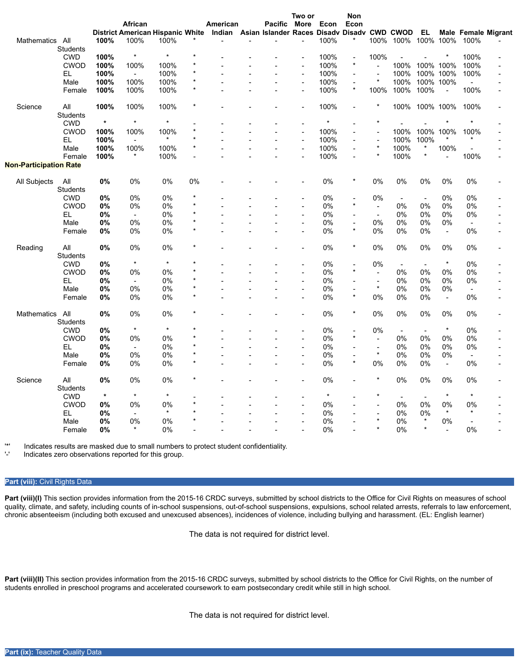|                               |                 |         |                                                                                     |         |         |          |                | Two or |         | Non                       |                          |                          |                          |                          |                          |                            |
|-------------------------------|-----------------|---------|-------------------------------------------------------------------------------------|---------|---------|----------|----------------|--------|---------|---------------------------|--------------------------|--------------------------|--------------------------|--------------------------|--------------------------|----------------------------|
|                               |                 |         | African                                                                             |         |         | American | <b>Pacific</b> | More   | Econ    | Econ                      |                          |                          |                          |                          |                          |                            |
|                               |                 |         | District American Hispanic White Indian Asian Islander Races Disady Disady CWD CWOD |         |         |          |                |        |         |                           |                          |                          | EL                       |                          |                          | <b>Male Female Migrant</b> |
| Mathematics All               |                 | 100%    | 100%                                                                                | 100%    |         |          |                |        | 100%    |                           |                          | 100% 100% 100% 100%      |                          |                          | 100%                     |                            |
|                               | <b>Students</b> |         |                                                                                     |         |         |          |                |        |         |                           |                          |                          |                          |                          |                          |                            |
|                               | <b>CWD</b>      | 100%    | $\star$                                                                             | $\star$ |         |          |                |        | 100%    | $\overline{a}$            | 100%                     |                          |                          | $\star$                  | 100%                     |                            |
|                               | <b>CWOD</b>     | 100%    | 100%                                                                                | 100%    | $\star$ |          |                |        | 100%    | $\star$                   | $\blacksquare$           | 100%                     | 100% 100%                |                          | 100%                     |                            |
|                               | EL              | 100%    | $\overline{\phantom{a}}$                                                            | 100%    | $\star$ |          |                |        | 100%    |                           |                          | 100%                     |                          | 100% 100%                | 100%                     |                            |
|                               | Male            | 100%    | 100%                                                                                | 100%    | *       |          |                |        | 100%    | $\overline{a}$            | $\star$                  | 100%                     |                          | 100% 100%                | $\blacksquare$           |                            |
|                               | Female          | 100%    | 100%                                                                                | 100%    | $\star$ |          |                |        | 100%    | $\star$                   | 100%                     | 100%                     | 100%                     | $\overline{a}$           | 100%                     |                            |
|                               |                 |         |                                                                                     |         |         |          |                |        |         |                           |                          |                          |                          |                          |                          |                            |
| Science                       | All             | 100%    | 100%                                                                                | 100%    | $\star$ |          |                |        | 100%    | $\blacksquare$            | $\ast$                   | 100%                     | 100% 100%                |                          | 100%                     |                            |
|                               | <b>Students</b> |         |                                                                                     |         |         |          |                |        |         |                           |                          |                          |                          |                          |                          |                            |
|                               | <b>CWD</b>      | $\star$ | $\star$                                                                             | $\star$ |         |          |                |        | $\star$ |                           |                          |                          |                          |                          |                          |                            |
|                               | <b>CWOD</b>     | 100%    | 100%                                                                                | 100%    | $\star$ |          |                |        | 100%    | $\overline{\phantom{a}}$  | $\overline{\phantom{a}}$ | 100%                     |                          | 100% 100%                | 100%                     |                            |
|                               | EL.             | 100%    | $\blacksquare$                                                                      | $\star$ | $\star$ |          |                |        | 100%    |                           |                          | 100%                     | 100%                     |                          | $\star$                  |                            |
|                               | Male            | 100%    | 100%                                                                                | 100%    | $\star$ |          |                |        | 100%    | $\overline{a}$            | $\star$                  | 100%                     | $\star$                  | 100%                     |                          |                            |
|                               | Female          | 100%    | $\star$                                                                             | 100%    | ÷,      |          |                |        | 100%    |                           | $\star$                  | 100%                     | $\star$                  |                          | 100%                     |                            |
| <b>Non-Participation Rate</b> |                 |         |                                                                                     |         |         |          |                |        |         |                           |                          |                          |                          |                          |                          |                            |
| All Subjects                  | All             | 0%      | 0%                                                                                  | 0%      | 0%      |          |                |        | 0%      | $\star$                   | 0%                       | 0%                       | 0%                       | 0%                       | 0%                       |                            |
|                               | <b>Students</b> |         |                                                                                     |         |         |          |                |        |         |                           |                          |                          |                          |                          |                          |                            |
|                               | <b>CWD</b>      | 0%      | 0%                                                                                  | 0%      | $\star$ |          |                |        | 0%      |                           | 0%                       | $\overline{\phantom{a}}$ | $\blacksquare$           | 0%                       | 0%                       |                            |
|                               | <b>CWOD</b>     | 0%      | 0%                                                                                  | 0%      | $\star$ |          |                |        | 0%      | $\star$                   | $\blacksquare$           | 0%                       | 0%                       | 0%                       | 0%                       |                            |
|                               |                 |         | $\blacksquare$                                                                      | 0%      | $\star$ |          |                |        | 0%      |                           | $\sim$                   | 0%                       | 0%                       | 0%                       | 0%                       |                            |
|                               | EL.             | 0%      |                                                                                     |         | $\star$ |          |                |        |         |                           |                          |                          |                          |                          |                          |                            |
|                               | Male            | 0%      | 0%                                                                                  | 0%      | $\star$ |          |                |        | 0%      | $\blacksquare$<br>$\star$ | 0%                       | 0%                       | 0%                       | 0%                       | $\blacksquare$           |                            |
|                               | Female          | 0%      | 0%                                                                                  | 0%      |         |          |                |        | 0%      |                           | 0%                       | 0%                       | 0%                       | $\blacksquare$           | 0%                       |                            |
| Reading                       | All             | $0\%$   | 0%                                                                                  | 0%      |         |          |                |        | 0%      |                           | 0%                       | 0%                       | 0%                       | 0%                       | 0%                       |                            |
|                               | <b>Students</b> |         |                                                                                     |         |         |          |                |        |         |                           |                          |                          |                          |                          |                          |                            |
|                               | <b>CWD</b>      | 0%      | $\star$                                                                             | $\star$ | $\star$ |          |                |        | 0%      |                           | 0%                       | $\overline{\phantom{a}}$ | ÷,                       | $\star$                  | 0%                       |                            |
|                               | <b>CWOD</b>     | 0%      | 0%                                                                                  | 0%      |         |          |                |        | 0%      |                           | $\blacksquare$           | $0\%$                    | 0%                       | 0%                       | 0%                       |                            |
|                               | EL              | 0%      | $\blacksquare$                                                                      | 0%      | $\star$ |          |                |        | 0%      |                           | $\blacksquare$           | 0%                       | 0%                       | 0%                       | 0%                       |                            |
|                               | Male            | 0%      | 0%                                                                                  | 0%      | $\star$ |          |                |        | 0%      |                           | $\star$                  | 0%                       | 0%                       | 0%                       | $\overline{\phantom{a}}$ |                            |
|                               | Female          | 0%      | 0%                                                                                  | 0%      | $\star$ |          |                |        | 0%      | $\star$                   | 0%                       | 0%                       | 0%                       | $\overline{\phantom{a}}$ | 0%                       |                            |
| <b>Mathematics</b>            | All             | 0%      | 0%                                                                                  | 0%      |         |          |                |        | 0%      | $\star$                   | 0%                       | 0%                       | 0%                       | 0%                       | 0%                       |                            |
|                               | <b>Students</b> |         |                                                                                     |         |         |          |                |        |         |                           |                          |                          |                          |                          |                          |                            |
|                               | <b>CWD</b>      | 0%      | $\star$                                                                             | $\star$ | $\star$ |          |                |        | 0%      |                           | 0%                       | $\overline{\phantom{a}}$ | $\sim$                   | $\star$                  | 0%                       |                            |
|                               | <b>CWOD</b>     |         |                                                                                     |         | $\star$ |          |                |        |         |                           |                          |                          |                          |                          |                          |                            |
|                               |                 | 0%      | 0%                                                                                  | 0%      | $\star$ |          |                |        | 0%      |                           | $\blacksquare$           | 0%                       | 0%                       | 0%                       | 0%                       |                            |
|                               | EL              | 0%      | $\blacksquare$                                                                      | 0%      |         |          |                |        | 0%      |                           | $\overline{\phantom{a}}$ | 0%                       | 0%                       | 0%                       | 0%                       |                            |
|                               | Male            | 0%      | 0%                                                                                  | 0%      | $\star$ |          |                |        | 0%      |                           | $\star$                  | 0%                       | 0%                       | 0%                       | $\blacksquare$           |                            |
|                               | Female          | 0%      | 0%                                                                                  | 0%      | $\star$ |          |                |        | 0%      | $\star$                   | 0%                       | 0%                       | 0%                       | $\overline{\phantom{a}}$ | 0%                       |                            |
| Science                       | All             | $0\%$   | 0%                                                                                  | 0%      |         |          |                |        | 0%      |                           |                          | 0%                       | 0%                       | 0%                       | 0%                       |                            |
|                               | <b>Students</b> |         |                                                                                     |         |         |          |                |        |         |                           |                          |                          |                          |                          |                          |                            |
|                               | <b>CWD</b>      | $\star$ | $\star$                                                                             | $\star$ |         |          |                |        | $\star$ |                           | $\star$                  | $\overline{\phantom{a}}$ | $\overline{\phantom{a}}$ | $\star$                  | $\star$                  |                            |
|                               | <b>CWOD</b>     | 0%      | 0%                                                                                  | 0%      | $\star$ |          |                |        | 0%      |                           |                          | 0%                       | 0%                       | 0%                       | 0%                       |                            |
|                               | EL              | 0%      | ÷                                                                                   | $\star$ |         |          |                |        | 0%      |                           | $\blacksquare$           | 0%                       | 0%                       | $\star$                  | $\star$                  |                            |
|                               | Male            | 0%      | 0%                                                                                  | 0%      | $\star$ |          |                |        | 0%      |                           | $\star$                  | 0%                       | $\star$                  | 0%                       | $\overline{\phantom{a}}$ |                            |
|                               | Female          | 0%      |                                                                                     | 0%      |         |          |                |        | 0%      |                           | $\star$                  | 0%                       | $\star$                  |                          | 0%                       |                            |
|                               |                 |         |                                                                                     |         |         |          |                |        |         |                           |                          |                          |                          |                          |                          |                            |

'\*' Indicates results are masked due to small numbers to protect student confidentiality.

Indicates zero observations reported for this group.

### **Part (viii):** Civil Rights Data

Part (viii)(I) This section provides information from the 2015-16 CRDC surveys, submitted by school districts to the Office for Civil Rights on measures of school quality, climate, and safety, including counts of in-school suspensions, out-of-school suspensions, expulsions, school related arrests, referrals to law enforcement, chronic absenteeism (including both excused and unexcused absences), incidences of violence, including bullying and harassment. (EL: English learner)

The data is not required for district level.

Part (viii)(II) This section provides information from the 2015-16 CRDC surveys, submitted by school districts to the Office for Civil Rights, on the number of students enrolled in preschool programs and accelerated coursework to earn postsecondary credit while still in high school.

The data is not required for district level.

/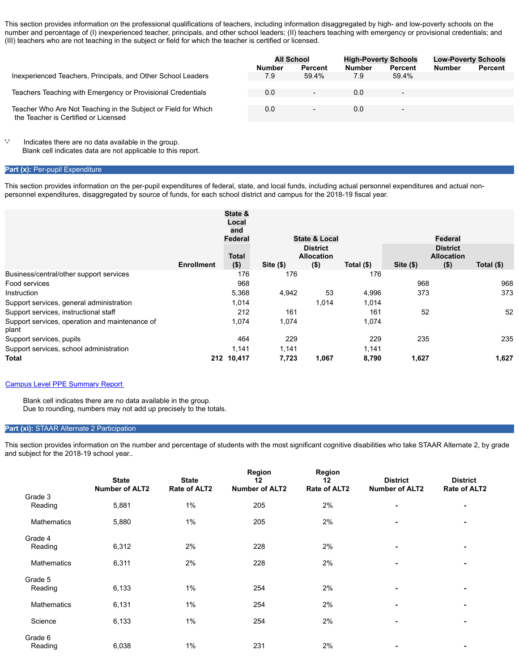This section provides information on the professional qualifications of teachers, including information disaggregated by high- and low-poverty schools on the number and percentage of (I) inexperienced teacher, principals, and other school leaders; (II) teachers teaching with emergency or provisional credentials; and (III) teachers who are not teaching in the subject or field for which the teacher is certified or licensed.

|                                                                                                        | <b>All School</b> |                          | <b>High-Poverty Schools</b> |                          | <b>Low-Poverty Schools</b> |                |
|--------------------------------------------------------------------------------------------------------|-------------------|--------------------------|-----------------------------|--------------------------|----------------------------|----------------|
|                                                                                                        | <b>Number</b>     | Percent                  | <b>Number</b>               | <b>Percent</b>           | <b>Number</b>              | <b>Percent</b> |
| Inexperienced Teachers, Principals, and Other School Leaders                                           | 7.9               | 59.4%                    | 7.9                         | 59.4%                    |                            |                |
|                                                                                                        |                   |                          |                             |                          |                            |                |
| Teachers Teaching with Emergency or Provisional Credentials                                            | 0.0               | $\overline{\phantom{a}}$ | 0.0                         | ٠                        |                            |                |
|                                                                                                        |                   |                          |                             |                          |                            |                |
| Teacher Who Are Not Teaching in the Subject or Field for Which<br>the Teacher is Certified or Licensed | 0.0               | $\overline{\phantom{a}}$ | 0.0                         | $\overline{\phantom{a}}$ |                            |                |

'-' Indicates there are no data available in the group. Blank cell indicates data are not applicable to this report.

#### **Part (x): Per-pupil Expenditure**

This section provides information on the per-pupil expenditures of federal, state, and local funds, including actual personnel expenditures and actual nonpersonnel expenditures, disaggregated by source of funds, for each school district and campus for the 2018-19 fiscal year.

|                                                         |                   | State &<br>Local<br>and<br>Federal |       | <b>State &amp; Local</b>                        |            |                                                             | Federal |              |
|---------------------------------------------------------|-------------------|------------------------------------|-------|-------------------------------------------------|------------|-------------------------------------------------------------|---------|--------------|
|                                                         | <b>Enrollment</b> | <b>Total</b><br>( \$)              | Site( | <b>District</b><br><b>Allocation</b><br>$($ \$) | Total (\$) | <b>District</b><br><b>Allocation</b><br>$($ \$)<br>Site(\$) |         | Total $(\$)$ |
| Business/central/other support services                 |                   | 176                                | 176   |                                                 | 176        |                                                             |         |              |
| Food services                                           |                   | 968                                |       |                                                 |            | 968                                                         |         | 968          |
| Instruction                                             |                   | 5,368                              | 4,942 | 53                                              | 4,996      | 373                                                         |         | 373          |
| Support services, general administration                |                   | 1,014                              |       | 1.014                                           | 1.014      |                                                             |         |              |
| Support services, instructional staff                   |                   | 212                                | 161   |                                                 | 161        | 52                                                          |         | 52           |
| Support services, operation and maintenance of<br>plant |                   | 1,074                              | 1,074 |                                                 | 1,074      |                                                             |         |              |
| Support services, pupils                                |                   | 464                                | 229   |                                                 | 229        | 235                                                         |         | 235          |
| Support services, school administration                 |                   | 1.141                              | 1,141 |                                                 | 1,141      |                                                             |         |              |
| <b>Total</b>                                            | 212               | 10,417                             | 7,723 | 1,067                                           | 8,790      | 1,627                                                       |         | 1,627        |

#### [Campus Level PPE Summary Report](https://rptsvr1.tea.texas.gov/cgi/sas/broker?_service=marykay&year4=2018&year2=18&_debug=0&single=N&title=2018-19+Federal+Report+Card&_program=perfrept.perfmast.sas&prgopt=2019%2Ffrc%2Freport_card_link.sas&ptype=H&level=district&search=distnum&namenum=161801)

 Blank cell indicates there are no data available in the group. Due to rounding, numbers may not add up precisely to the totals.

### **Part (xi):** STAAR Alternate 2 Participation

This section provides information on the number and percentage of students with the most significant cognitive disabilities who take STAAR Alternate 2, by grade and subject for the 2018-19 school year..

|             | <b>State</b><br><b>Number of ALT2</b> | <b>State</b><br>Rate of ALT2 | Region<br>12<br><b>Number of ALT2</b> | <b>Region</b><br>12<br>Rate of ALT2 | <b>District</b><br><b>Number of ALT2</b> | <b>District</b><br>Rate of ALT2 |
|-------------|---------------------------------------|------------------------------|---------------------------------------|-------------------------------------|------------------------------------------|---------------------------------|
| Grade 3     |                                       |                              |                                       |                                     |                                          |                                 |
| Reading     | 5,881                                 | $1\%$                        | 205                                   | 2%                                  |                                          |                                 |
| Mathematics | 5,880                                 | 1%                           | 205                                   | 2%                                  | ٠                                        |                                 |
| Grade 4     |                                       |                              |                                       |                                     |                                          |                                 |
| Reading     | 6,312                                 | 2%                           | 228                                   | 2%                                  | ٠                                        |                                 |
| Mathematics | 6,311                                 | 2%                           | 228                                   | 2%                                  | $\blacksquare$                           |                                 |
| Grade 5     |                                       |                              |                                       |                                     |                                          |                                 |
| Reading     | 6,133                                 | 1%                           | 254                                   | 2%                                  | $\blacksquare$                           |                                 |
| Mathematics | 6,131                                 | $1\%$                        | 254                                   | 2%                                  | $\blacksquare$                           | $\blacksquare$                  |
| Science     | 6,133                                 | $1\%$                        | 254                                   | 2%                                  | ٠                                        |                                 |
| Grade 6     |                                       |                              |                                       |                                     |                                          |                                 |
| Reading     | 6,038                                 | $1\%$                        | 231                                   | 2%                                  | $\blacksquare$                           | $\blacksquare$                  |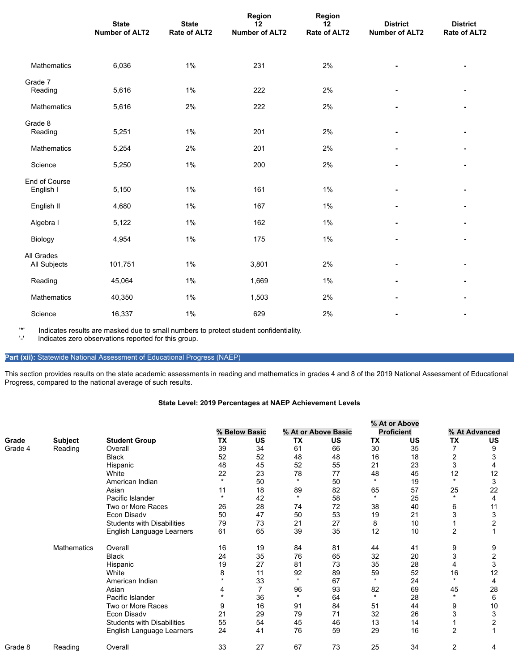|                            | <b>State</b><br><b>Number of ALT2</b> | <b>State</b><br><b>Rate of ALT2</b> | Region<br>12<br><b>Number of ALT2</b> | Region<br>12<br>Rate of ALT2 | <b>District</b><br><b>Number of ALT2</b> | <b>District</b><br>Rate of ALT2 |
|----------------------------|---------------------------------------|-------------------------------------|---------------------------------------|------------------------------|------------------------------------------|---------------------------------|
| Mathematics                | 6,036                                 | $1\%$                               | 231                                   | 2%                           |                                          |                                 |
| Grade 7<br>Reading         | 5,616                                 | $1\%$                               | 222                                   | 2%                           |                                          |                                 |
| Mathematics                | 5,616                                 | 2%                                  | 222                                   | 2%                           |                                          |                                 |
| Grade 8<br>Reading         | 5,251                                 | $1\%$                               | 201                                   | 2%                           |                                          |                                 |
| Mathematics                | 5,254                                 | 2%                                  | 201                                   | 2%                           |                                          |                                 |
| Science                    | 5,250                                 | $1\%$                               | 200                                   | 2%                           |                                          |                                 |
| End of Course<br>English I | 5,150                                 | $1\%$                               | 161                                   | $1\%$                        |                                          |                                 |
| English II                 | 4,680                                 | $1\%$                               | 167                                   | 1%                           |                                          |                                 |
| Algebra I                  | 5,122                                 | $1\%$                               | 162                                   | 1%                           |                                          |                                 |
| Biology                    | 4,954                                 | $1\%$                               | 175                                   | $1\%$                        |                                          |                                 |
| All Grades<br>All Subjects | 101,751                               | $1\%$                               | 3,801                                 | 2%                           |                                          |                                 |
| Reading                    | 45,064                                | $1\%$                               | 1,669                                 | 1%                           |                                          |                                 |
| Mathematics                | 40,350                                | $1\%$                               | 1,503                                 | 2%                           |                                          |                                 |
| Science                    | 16,337                                | 1%                                  | 629                                   | 2%                           |                                          |                                 |

'\*' Indicates results are masked due to small numbers to protect student confidentiality.

Indicates zero observations reported for this group.

# **Part (xii):** Statewide National Assessment of Educational Progress (NAEP)

This section provides results on the state academic assessments in reading and mathematics in grades 4 and 8 of the 2019 National Assessment of Educational Progress, compared to the national average of such results.

## **State Level: 2019 Percentages at NAEP Achievement Levels**

|         |                    |                                   |           | % Below Basic |         | % At or Above Basic |           | % At or Above<br><b>Proficient</b> |                      | % At Advanced           |
|---------|--------------------|-----------------------------------|-----------|---------------|---------|---------------------|-----------|------------------------------------|----------------------|-------------------------|
| Grade   | Subject            | <b>Student Group</b>              | <b>TX</b> | <b>US</b>     | ТX      | US                  | <b>TX</b> | <b>US</b>                          | ТX                   | US                      |
| Grade 4 | Reading            | Overall                           | 39        | 34            | 61      | 66                  | 30        | 35                                 | $\overline{7}$       | 9                       |
|         |                    | <b>Black</b>                      | 52        | 52            | 48      | 48                  | 16        | 18                                 | $\overline{2}$       | 3                       |
|         |                    | Hispanic                          | 48        | 45            | 52      | 55                  | 21        | 23                                 | 3                    |                         |
|         |                    | White                             | 22        | 23            | 78      | 77                  | 48        | 45                                 | 12                   | 12                      |
|         |                    | American Indian                   | $\star$   | 50            | $\star$ | 50                  | $\star$   | 19                                 | $\star$              | 3                       |
|         |                    | Asian                             | 11        | 18            | 89      | 82                  | 65        | 57                                 | 25                   | 22                      |
|         |                    | Pacific Islander                  | $\star$   | 42            | $\star$ | 58                  | $\star$   | 25                                 | $\star$              | $\overline{4}$          |
|         |                    | Two or More Races                 | 26        | 28            | 74      | 72                  | 38        | 40                                 | 6                    | 11                      |
|         |                    | Econ Disadv                       | 50        | 47            | 50      | 53                  | 19        | 21                                 | 3                    | 3                       |
|         |                    | <b>Students with Disabilities</b> | 79        | 73            | 21      | 27                  | 8         | 10                                 |                      | $\overline{\mathbf{c}}$ |
|         |                    | English Language Learners         | 61        | 65            | 39      | 35                  | 12        | 10                                 | $\overline{2}$       |                         |
|         | <b>Mathematics</b> | Overall                           | 16        | 19            | 84      | 81                  | 44        | 41                                 | 9                    | 9                       |
|         |                    | <b>Black</b>                      | 24        | 35            | 76      | 65                  | 32        | 20                                 | 3                    | 2                       |
|         |                    | Hispanic                          | 19        | 27            | 81      | 73                  | 35        | 28                                 |                      | 3                       |
|         |                    | White                             | 8         | 11            | 92      | 89                  | 59        | 52                                 | 16                   | 12                      |
|         |                    | American Indian                   |           | 33            | $\star$ | 67                  | $\star$   | 24                                 | $\ddot{\phantom{1}}$ | 4                       |
|         |                    | Asian                             | 4         | 7             | 96      | 93                  | 82        | 69                                 | 45                   | 28                      |
|         |                    | Pacific Islander                  | $\star$   | 36            | $\star$ | 64                  | $\star$   | 28                                 | $\star$              | 6                       |
|         |                    | Two or More Races                 | 9         | 16            | 91      | 84                  | 51        | 44                                 | 9                    | 10                      |
|         |                    | Econ Disadv                       | 21        | 29            | 79      | 71                  | 32        | 26                                 | 3                    | 3                       |
|         |                    | <b>Students with Disabilities</b> | 55        | 54            | 45      | 46                  | 13        | 14                                 |                      | $\overline{2}$          |
|         |                    | English Language Learners         | 24        | 41            | 76      | 59                  | 29        | 16                                 | $\overline{2}$       | 1                       |
| Grade 8 | Reading            | Overall                           | 33        | 27            | 67      | 73                  | 25        | 34                                 | $\overline{2}$       | 4                       |